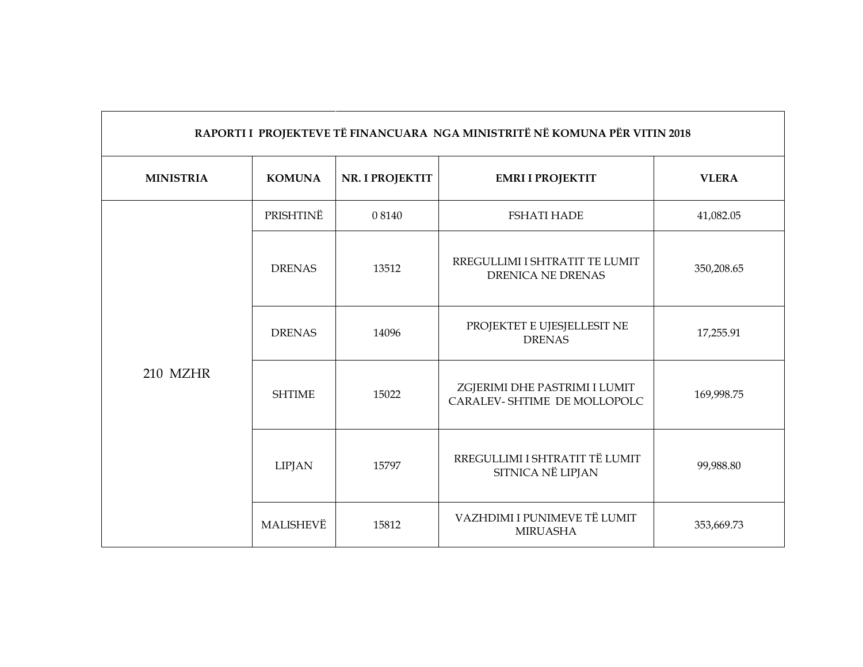| RAPORTI I PROJEKTEVE TË FINANCUARA NGA MINISTRITË NË KOMUNA PËR VITIN 2018 |               |                 |                                                              |              |
|----------------------------------------------------------------------------|---------------|-----------------|--------------------------------------------------------------|--------------|
| <b>MINISTRIA</b>                                                           | <b>KOMUNA</b> | NR. I PROJEKTIT | <b>EMRI I PROJEKTIT</b>                                      | <b>VLERA</b> |
|                                                                            | PRISHTINË     | 0 8 1 4 0       | <b>FSHATI HADE</b>                                           | 41,082.05    |
|                                                                            | <b>DRENAS</b> | 13512           | RREGULLIMI I SHTRATIT TE LUMIT<br><b>DRENICA NE DRENAS</b>   | 350,208.65   |
| 210 MZHR                                                                   | <b>DRENAS</b> | 14096           | PROJEKTET E UJESJELLESIT NE<br><b>DRENAS</b>                 | 17,255.91    |
|                                                                            | <b>SHTIME</b> | 15022           | ZGJERIMI DHE PASTRIMI I LUMIT<br>CARALEV-SHTIME DE MOLLOPOLC | 169,998.75   |
|                                                                            | <b>LIPJAN</b> | 15797           | RREGULLIMI I SHTRATIT TË LUMIT<br>SITNICA NË LIPJAN          | 99,988.80    |
|                                                                            | MALISHEVË     | 15812           | VAZHDIMI I PUNIMEVE TË LUMIT<br><b>MIRUASHA</b>              | 353,669.73   |

 $\blacksquare$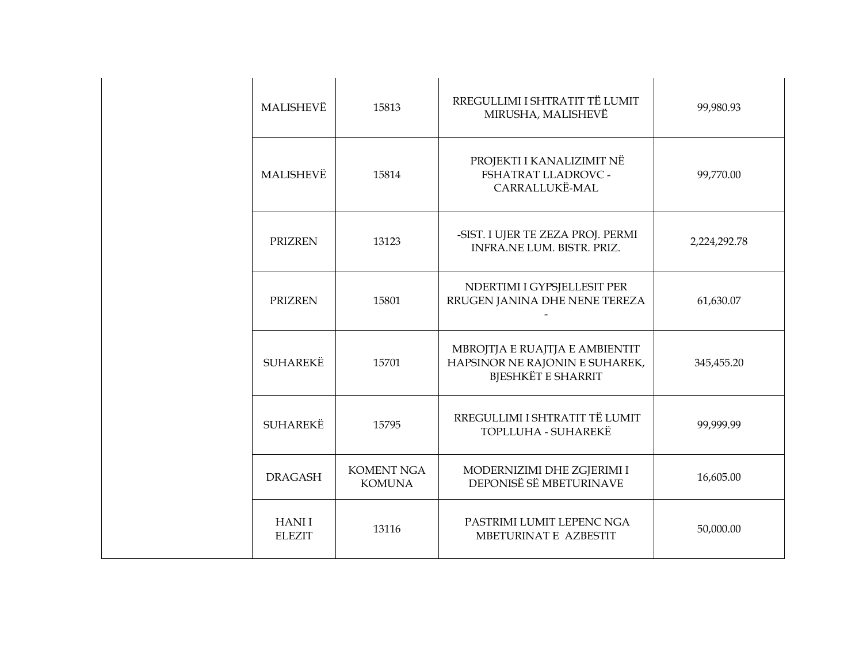| MALISHEVË                     | 15813                              | RREGULLIMI I SHTRATIT TË LUMIT<br>MIRUSHA, MALISHEVË                                          | 99,980.93    |
|-------------------------------|------------------------------------|-----------------------------------------------------------------------------------------------|--------------|
| MALISHEVË                     | 15814                              | PROJEKTI I KANALIZIMIT NË<br>FSHATRAT LLADROVC -<br>CARRALLUKË-MAL                            | 99,770.00    |
| <b>PRIZREN</b>                | 13123                              | -SIST. I UJER TE ZEZA PROJ. PERMI<br><b>INFRA.NE LUM. BISTR. PRIZ.</b>                        | 2,224,292.78 |
| <b>PRIZREN</b>                | 15801                              | NDERTIMI I GYPSJELLESIT PER<br>RRUGEN JANINA DHE NENE TEREZA                                  | 61,630.07    |
| <b>SUHAREKË</b>               | 15701                              | MBROJTJA E RUAJTJA E AMBIENTIT<br>HAPSINOR NE RAJONIN E SUHAREK,<br><b>BJESHKËT E SHARRIT</b> | 345,455.20   |
| <b>SUHAREKË</b>               | 15795                              | RREGULLIMI I SHTRATIT TË LUMIT<br>TOPLLUHA - SUHAREKË                                         | 99,999.99    |
| <b>DRAGASH</b>                | <b>KOMENT NGA</b><br><b>KOMUNA</b> | MODERNIZIMI DHE ZGJERIMI I<br>DEPONISË SË MBETURINAVE                                         | 16,605.00    |
| <b>HANII</b><br><b>ELEZIT</b> | 13116                              | PASTRIMI LUMIT LEPENC NGA<br>MBETURINAT E AZBESTIT                                            | 50,000.00    |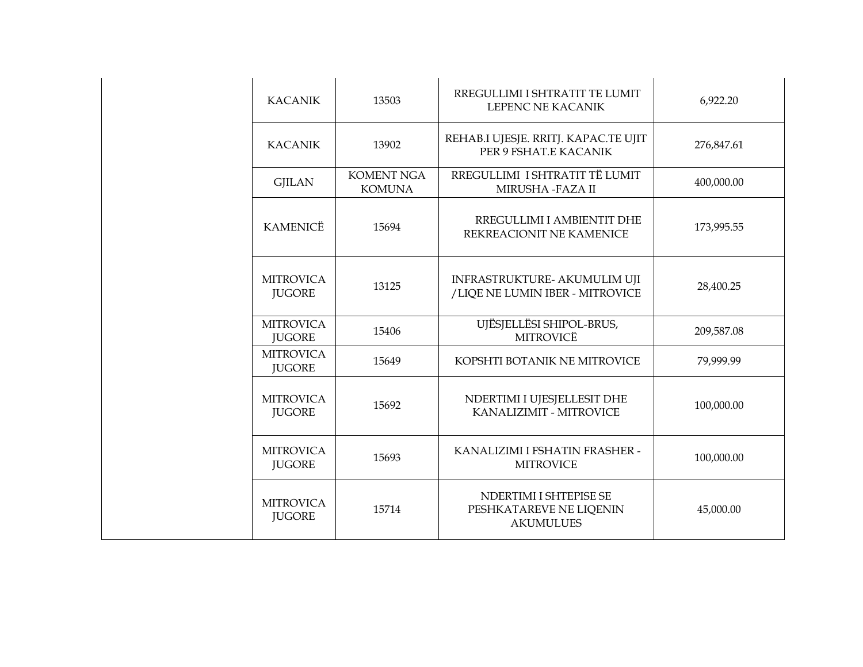| <b>KACANIK</b>                    | 13503                              | RREGULLIMI I SHTRATIT TE LUMIT<br>LEPENC NE KACANIK                   | 6,922.20   |
|-----------------------------------|------------------------------------|-----------------------------------------------------------------------|------------|
| <b>KACANIK</b>                    | 13902                              | REHAB.I UJESJE. RRITJ. KAPAC.TE UJIT<br>PER 9 FSHAT.E KACANIK         | 276,847.61 |
| <b>GJILAN</b>                     | <b>KOMENT NGA</b><br><b>KOMUNA</b> | RREGULLIMI I SHTRATIT TË LUMIT<br>MIRUSHA -FAZA II                    | 400,000.00 |
| <b>KAMENICË</b>                   | 15694                              | RREGULLIMI I AMBIENTIT DHE<br>REKREACIONIT NE KAMENICE                | 173,995.55 |
| <b>MITROVICA</b><br><b>JUGORE</b> | 13125                              | INFRASTRUKTURE- AKUMULIM UJI<br>/LIQE NE LUMIN IBER - MITROVICE       | 28,400.25  |
| <b>MITROVICA</b><br><b>JUGORE</b> | 15406                              | UJËSJELLËSI SHIPOL-BRUS,<br><b>MITROVICË</b>                          | 209,587.08 |
| <b>MITROVICA</b><br><b>JUGORE</b> | 15649                              | KOPSHTI BOTANIK NE MITROVICE                                          | 79,999.99  |
| <b>MITROVICA</b><br><b>JUGORE</b> | 15692                              | NDERTIMI I UJESJELLESIT DHE<br>KANALIZIMIT - MITROVICE                | 100,000.00 |
| <b>MITROVICA</b><br><b>JUGORE</b> | 15693                              | KANALIZIMI I FSHATIN FRASHER -<br><b>MITROVICE</b>                    | 100,000.00 |
| <b>MITROVICA</b><br><b>JUGORE</b> | 15714                              | NDERTIMI I SHTEPISE SE<br>PESHKATAREVE NE LIQENIN<br><b>AKUMULUES</b> | 45,000.00  |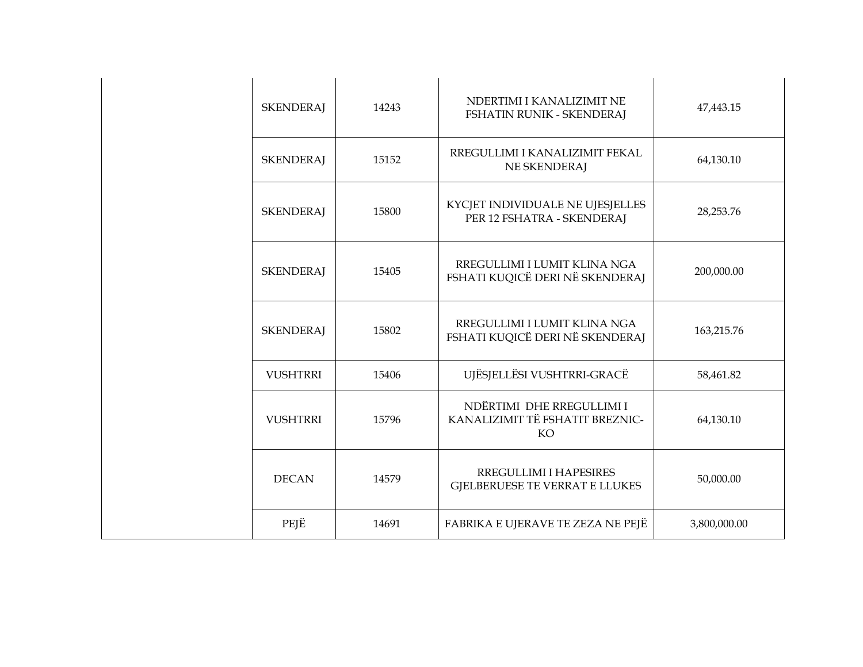| <b>SKENDERAJ</b> | 14243 | NDERTIMI I KANALIZIMIT NE<br>FSHATIN RUNIK - SKENDERAJ             | 47,443.15    |
|------------------|-------|--------------------------------------------------------------------|--------------|
| <b>SKENDERAJ</b> | 15152 | RREGULLIMI I KANALIZIMIT FEKAL<br>NE SKENDERAJ                     | 64,130.10    |
| <b>SKENDERAJ</b> | 15800 | KYCJET INDIVIDUALE NE UJESJELLES<br>PER 12 FSHATRA - SKENDERAJ     | 28,253.76    |
| <b>SKENDERAJ</b> | 15405 | RREGULLIMI I LUMIT KLINA NGA<br>FSHATI KUQICË DERI NË SKENDERAJ    | 200,000.00   |
| <b>SKENDERAJ</b> | 15802 | RREGULLIMI I LUMIT KLINA NGA<br>FSHATI KUQICË DERI NË SKENDERAJ    | 163,215.76   |
| <b>VUSHTRRI</b>  | 15406 | UJËSJELLËSI VUSHTRRI-GRACË                                         | 58,461.82    |
| <b>VUSHTRRI</b>  | 15796 | NDËRTIMI DHE RREGULLIMI I<br>KANALIZIMIT TË FSHATIT BREZNIC-<br>KO | 64,130.10    |
| <b>DECAN</b>     | 14579 | RREGULLIMI I HAPESIRES<br>GJELBERUESE TE VERRAT E LLUKES           | 50,000.00    |
| PEJË             | 14691 | FABRIKA E UJERAVE TE ZEZA NE PEJË                                  | 3,800,000.00 |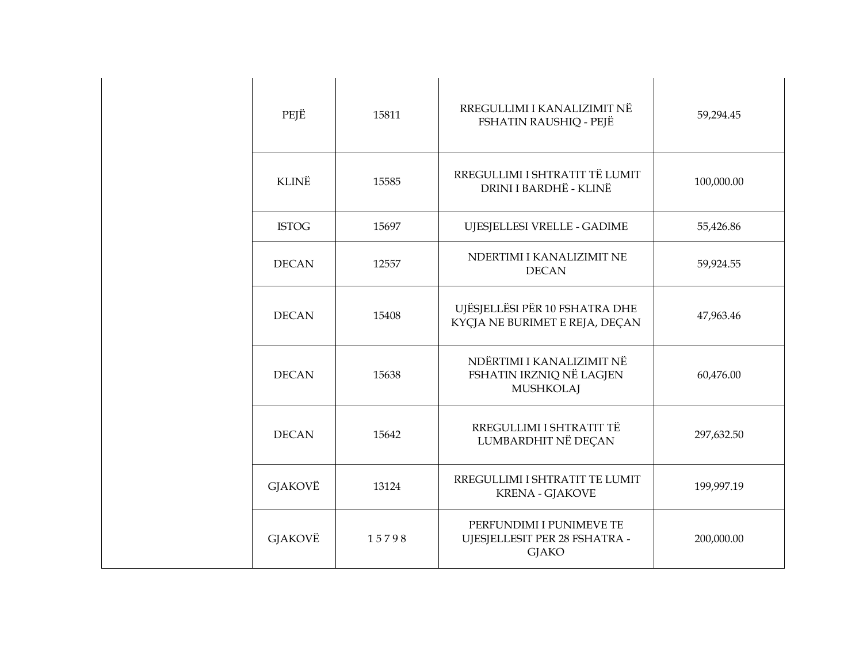| PEJË         | 15811 | RREGULLIMI I KANALIZIMIT NË<br>FSHATIN RAUSHIQ - PEJË                     | 59,294.45  |
|--------------|-------|---------------------------------------------------------------------------|------------|
| <b>KLINË</b> | 15585 | RREGULLIMI I SHTRATIT TË LUMIT<br>DRINI I BARDHË - KLINË                  | 100,000.00 |
| <b>ISTOG</b> | 15697 | UJESJELLESI VRELLE - GADIME                                               | 55,426.86  |
| <b>DECAN</b> | 12557 | NDERTIMI I KANALIZIMIT NE<br><b>DECAN</b>                                 | 59,924.55  |
| <b>DECAN</b> | 15408 | UJËSJELLËSI PËR 10 FSHATRA DHE<br>KYCJA NE BURIMET E REJA, DECAN          | 47,963.46  |
| <b>DECAN</b> | 15638 | NDËRTIMI I KANALIZIMIT NË<br>FSHATIN IRZNIQ NË LAGJEN<br><b>MUSHKOLAJ</b> | 60,476.00  |
| <b>DECAN</b> | 15642 | RREGULLIMI I SHTRATIT TË<br>LUMBARDHIT NË DEÇAN                           | 297,632.50 |
| GJAKOVË      | 13124 | RREGULLIMI I SHTRATIT TE LUMIT<br><b>KRENA - GJAKOVE</b>                  | 199,997.19 |
| GJAKOVË      | 15798 | PERFUNDIMI I PUNIMEVE TE<br>UJESJELLESIT PER 28 FSHATRA -<br><b>GJAKO</b> | 200,000.00 |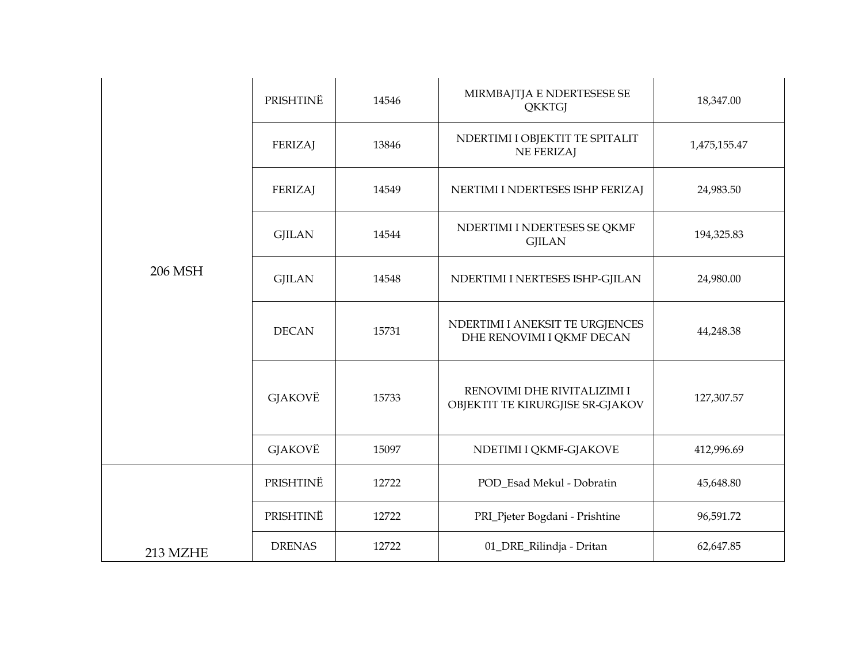|          | PRISHTINË      | 14546 | MIRMBAJTJA E NDERTESESE SE<br><b>QKKTGJ</b>                     | 18,347.00    |
|----------|----------------|-------|-----------------------------------------------------------------|--------------|
|          | FERIZAJ        | 13846 | NDERTIMI I OBJEKTIT TE SPITALIT<br><b>NE FERIZAJ</b>            | 1,475,155.47 |
|          | <b>FERIZAJ</b> | 14549 | NERTIMI I NDERTESES ISHP FERIZAJ                                | 24,983.50    |
|          | <b>GJILAN</b>  | 14544 | NDERTIMI I NDERTESES SE QKMF<br><b>GJILAN</b>                   | 194,325.83   |
| 206 MSH  | <b>GJILAN</b>  | 14548 | NDERTIMI I NERTESES ISHP-GJILAN                                 | 24,980.00    |
|          | <b>DECAN</b>   | 15731 | NDERTIMI I ANEKSIT TE URGJENCES<br>DHE RENOVIMI I QKMF DECAN    | 44,248.38    |
|          | GJAKOVË        | 15733 | RENOVIMI DHE RIVITALIZIMI I<br>OBJEKTIT TE KIRURGJISE SR-GJAKOV | 127,307.57   |
|          | <b>GJAKOVË</b> | 15097 | NDETIMI I QKMF-GJAKOVE                                          | 412,996.69   |
|          | PRISHTINË      | 12722 | POD_Esad Mekul - Dobratin                                       | 45,648.80    |
|          | PRISHTINË      | 12722 | PRI_Pjeter Bogdani - Prishtine                                  | 96,591.72    |
| 213 MZHE | <b>DRENAS</b>  | 12722 | 01_DRE_Rilindja - Dritan                                        | 62,647.85    |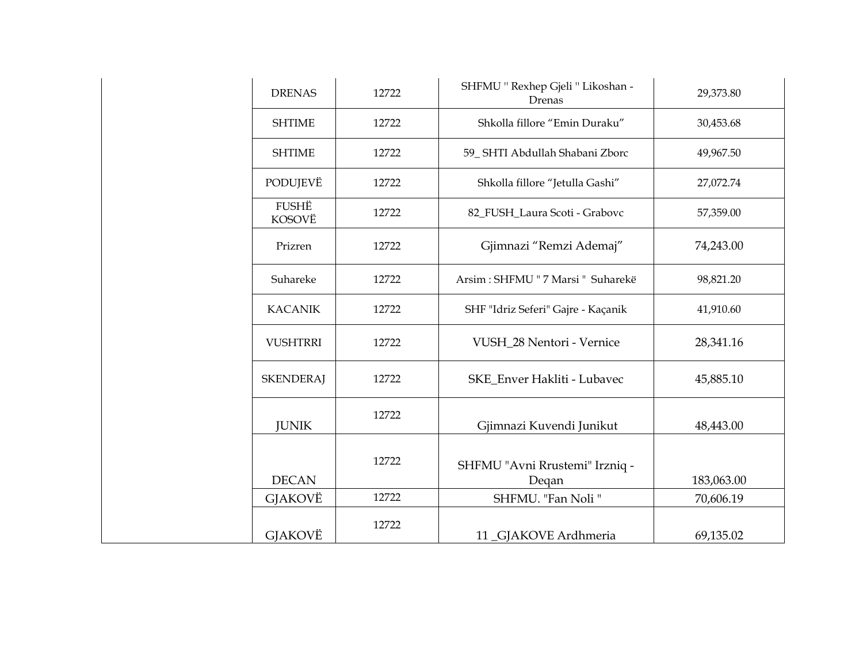| <b>DRENAS</b>          | 12722 | SHFMU " Rexhep Gjeli " Likoshan -<br>Drenas | 29,373.80  |
|------------------------|-------|---------------------------------------------|------------|
| <b>SHTIME</b>          | 12722 | Shkolla fillore "Emin Duraku"               | 30,453.68  |
| <b>SHTIME</b>          | 12722 | 59_SHTI Abdullah Shabani Zborc              | 49,967.50  |
| PODUJEVË               | 12722 | Shkolla fillore "Jetulla Gashi"             | 27,072.74  |
| <b>FUSHË</b><br>KOSOVË | 12722 | 82_FUSH_Laura Scoti - Grabovc               | 57,359.00  |
| Prizren                | 12722 | Gjimnazi "Remzi Ademaj"                     | 74,243.00  |
| Suhareke               | 12722 | Arsim : SHFMU " 7 Marsi " Suharekë          | 98,821.20  |
| <b>KACANIK</b>         | 12722 | SHF "Idriz Seferi" Gajre - Kaçanik          | 41,910.60  |
| <b>VUSHTRRI</b>        | 12722 | VUSH 28 Nentori - Vernice                   | 28,341.16  |
| <b>SKENDERAJ</b>       | 12722 | SKE_Enver Hakliti - Lubavec                 | 45,885.10  |
| <b>JUNIK</b>           | 12722 | Gjimnazi Kuvendi Junikut                    | 48,443.00  |
| <b>DECAN</b>           | 12722 | SHFMU "Avni Rrustemi" Irzniq -<br>Degan     | 183,063.00 |
| GJAKOVË                | 12722 | SHFMU. "Fan Noli"                           | 70,606.19  |
| GJAKOVË                | 12722 | 11_GJAKOVE Ardhmeria                        | 69,135.02  |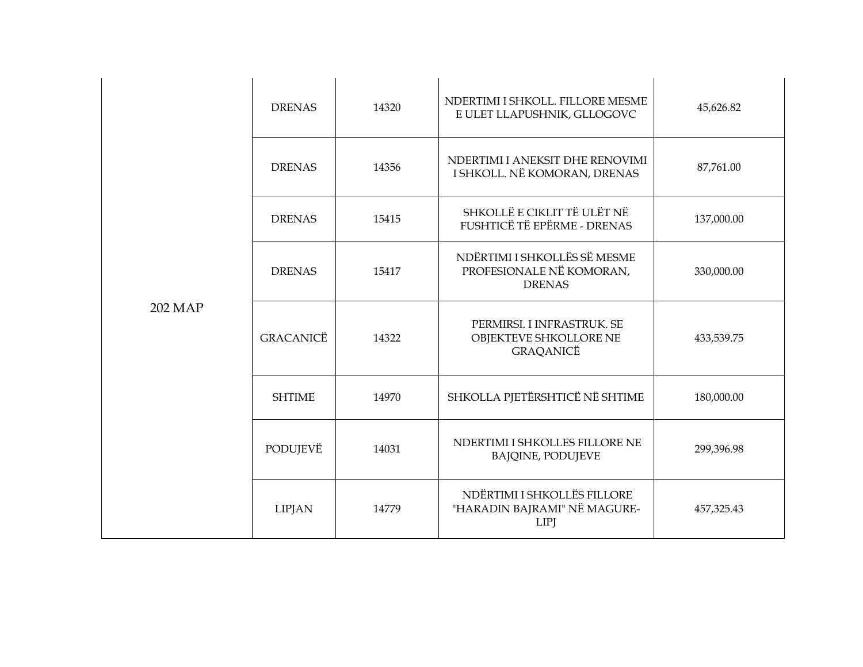|         | <b>DRENAS</b>    | 14320 | NDERTIMI I SHKOLL. FILLORE MESME<br>E ULET LLAPUSHNIK, GLLOGOVC            | 45,626.82  |
|---------|------------------|-------|----------------------------------------------------------------------------|------------|
|         | <b>DRENAS</b>    | 14356 | NDERTIMI I ANEKSIT DHE RENOVIMI<br>I SHKOLL. NË KOMORAN, DRENAS            | 87,761.00  |
|         | <b>DRENAS</b>    | 15415 | SHKOLLË E CIKLIT TË ULËT NË<br>FUSHTICË TË EPËRME - DRENAS                 | 137,000.00 |
| 202 MAP | <b>DRENAS</b>    | 15417 | NDËRTIMI I SHKOLLËS SË MESME<br>PROFESIONALE NË KOMORAN,<br><b>DRENAS</b>  | 330,000.00 |
|         | <b>GRACANICË</b> | 14322 | PERMIRSI. I INFRASTRUK. SE<br>OBJEKTEVE SHKOLLORE NE<br>GRAQANICË          | 433,539.75 |
|         | <b>SHTIME</b>    | 14970 | SHKOLLA PJETËRSHTICË NË SHTIME                                             | 180,000.00 |
|         | PODUJEVË         | 14031 | NDERTIMI I SHKOLLES FILLORE NE<br><b>BAJQINE, PODUJEVE</b>                 | 299,396.98 |
|         | <b>LIPJAN</b>    | 14779 | NDËRTIMI I SHKOLLËS FILLORE<br>"HARADIN BAJRAMI" NË MAGURE-<br><b>LIPJ</b> | 457,325.43 |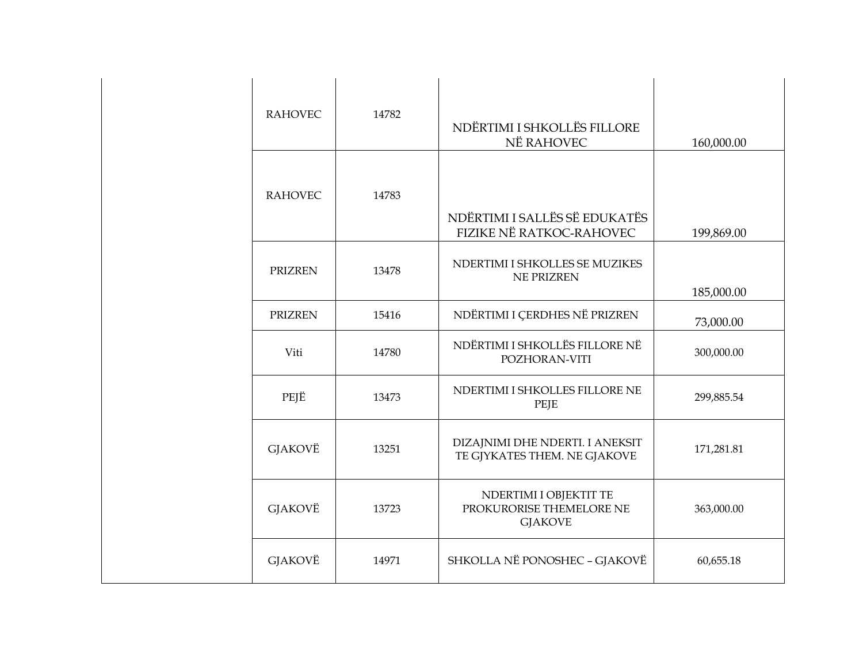| <b>RAHOVEC</b> | 14782 | NDËRTIMI I SHKOLLËS FILLORE<br>NË RAHOVEC                            | 160,000.00 |
|----------------|-------|----------------------------------------------------------------------|------------|
| <b>RAHOVEC</b> | 14783 | NDËRTIMI I SALLËS SË EDUKATËS<br>FIZIKE NË RATKOC-RAHOVEC            | 199,869.00 |
| <b>PRIZREN</b> | 13478 | NDERTIMI I SHKOLLES SE MUZIKES<br><b>NE PRIZREN</b>                  | 185,000.00 |
| <b>PRIZREN</b> | 15416 | NDËRTIMI I ÇERDHES NË PRIZREN                                        | 73,000.00  |
| Viti           | 14780 | NDËRTIMI I SHKOLLËS FILLORE NË<br>POZHORAN-VITI                      | 300,000.00 |
| PEJË           | 13473 | NDERTIMI I SHKOLLES FILLORE NE<br>PEJE                               | 299,885.54 |
| <b>GJAKOVË</b> | 13251 | DIZAJNIMI DHE NDERTI. I ANEKSIT<br>TE GJYKATES THEM. NE GJAKOVE      | 171,281.81 |
| GJAKOVË        | 13723 | NDERTIMI I OBJEKTIT TE<br>PROKURORISE THEMELORE NE<br><b>GJAKOVE</b> | 363,000.00 |
| GJAKOVË        | 14971 | SHKOLLA NË PONOSHEC - GJAKOVË                                        | 60,655.18  |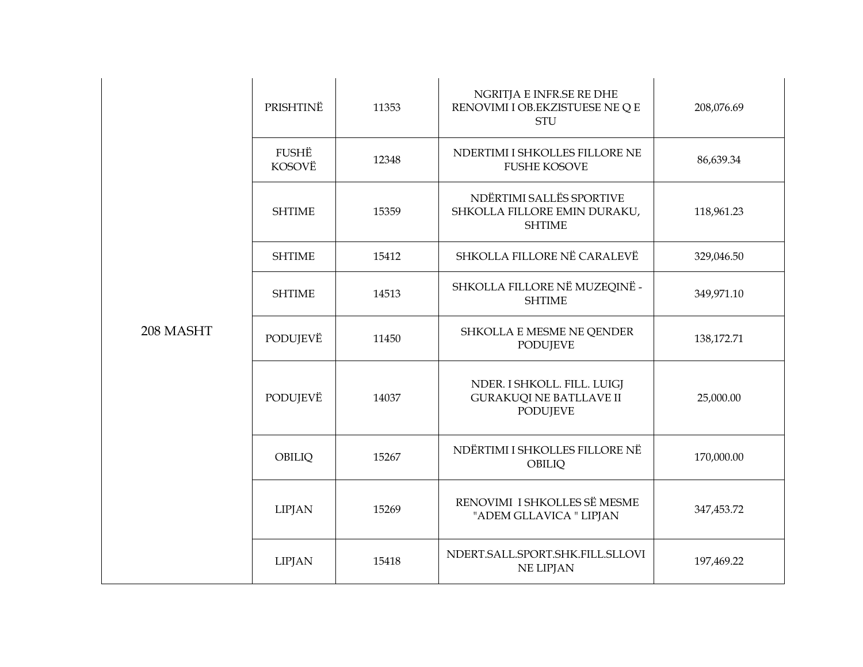|           | PRISHTINË       | 11353 | NGRITJA E INFR.SE RE DHE<br>RENOVIMI I OB.EKZISTUESE NE Q E<br><b>STU</b>        | 208,076.69 |
|-----------|-----------------|-------|----------------------------------------------------------------------------------|------------|
|           | FUSHË<br>KOSOVË | 12348 | NDERTIMI I SHKOLLES FILLORE NE<br><b>FUSHE KOSOVE</b>                            | 86,639.34  |
|           | <b>SHTIME</b>   | 15359 | NDËRTIMI SALLËS SPORTIVE<br>SHKOLLA FILLORE EMIN DURAKU,<br><b>SHTIME</b>        | 118,961.23 |
|           | <b>SHTIME</b>   | 15412 | SHKOLLA FILLORE NË CARALEVË                                                      | 329,046.50 |
|           | <b>SHTIME</b>   | 14513 | SHKOLLA FILLORE NË MUZEQINË -<br><b>SHTIME</b>                                   | 349,971.10 |
| 208 MASHT | PODUJEVË        | 11450 | SHKOLLA E MESME NE QENDER<br><b>PODUJEVE</b>                                     | 138,172.71 |
|           | PODUJEVË        | 14037 | NDER. I SHKOLL. FILL. LUIGJ<br><b>GURAKUQI NE BATLLAVE II</b><br><b>PODUJEVE</b> | 25,000.00  |
|           | OBILIQ          | 15267 | NDËRTIMI I SHKOLLES FILLORE NË<br>OBILIQ                                         | 170,000.00 |
|           | <b>LIPJAN</b>   | 15269 | RENOVIMI I SHKOLLES SË MESME<br>"ADEM GLLAVICA " LIPJAN                          | 347,453.72 |
|           | <b>LIPJAN</b>   | 15418 | NDERT.SALL.SPORT.SHK.FILL.SLLOVI<br><b>NE LIPJAN</b>                             | 197,469.22 |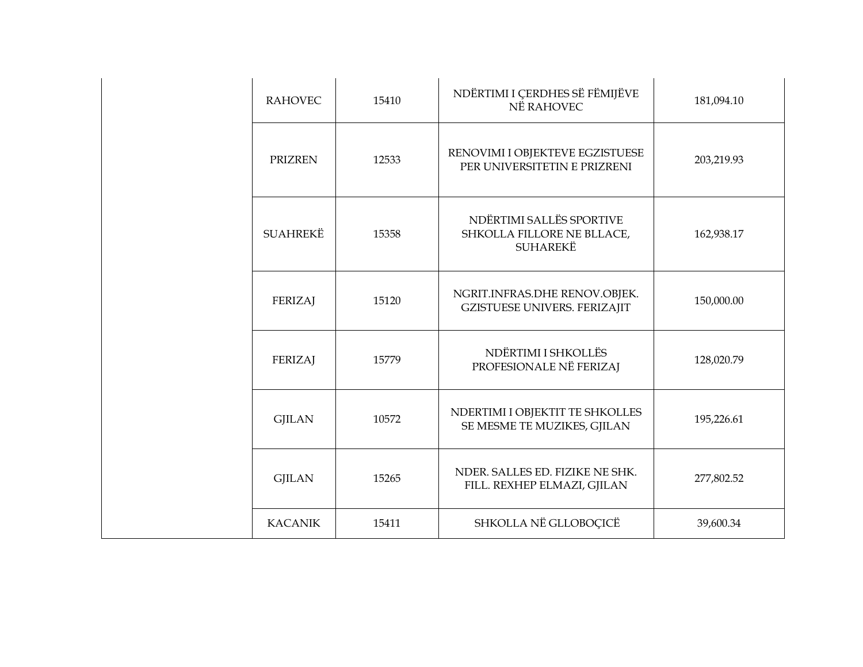| <b>RAHOVEC</b>  | 15410 | NDËRTIMI I ÇERDHES SË FËMIJËVE<br>NË RAHOVEC                              | 181,094.10 |
|-----------------|-------|---------------------------------------------------------------------------|------------|
| <b>PRIZREN</b>  | 12533 | RENOVIMI I OBJEKTEVE EGZISTUESE<br>PER UNIVERSITETIN E PRIZRENI           | 203,219.93 |
| <b>SUAHREKË</b> | 15358 | NDËRTIMI SALLËS SPORTIVE<br>SHKOLLA FILLORE NE BLLACE,<br><b>SUHAREKË</b> | 162,938.17 |
| <b>FERIZAJ</b>  | 15120 | NGRIT.INFRAS.DHE RENOV.OBJEK.<br><b>GZISTUESE UNIVERS. FERIZAJIT</b>      | 150,000.00 |
| <b>FERIZAJ</b>  | 15779 | NDËRTIMI I SHKOLLËS<br>PROFESIONALE NË FERIZAJ                            | 128,020.79 |
| <b>GJILAN</b>   | 10572 | NDERTIMI I OBJEKTIT TE SHKOLLES<br>SE MESME TE MUZIKES, GJILAN            | 195,226.61 |
| <b>GJILAN</b>   | 15265 | NDER. SALLES ED. FIZIKE NE SHK.<br>FILL. REXHEP ELMAZI, GJILAN            | 277,802.52 |
| <b>KACANIK</b>  | 15411 | SHKOLLA NË GLLOBOÇICË                                                     | 39,600.34  |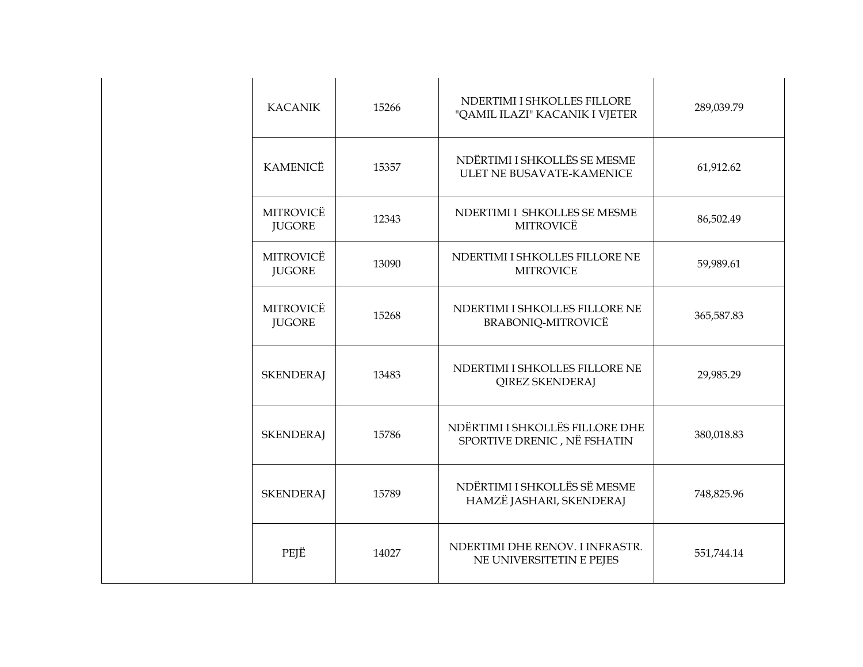| <b>KACANIK</b>                    | 15266 | NDERTIMI I SHKOLLES FILLORE<br>"QAMIL ILAZI" KACANIK I VJETER  | 289,039.79 |
|-----------------------------------|-------|----------------------------------------------------------------|------------|
| <b>KAMENICË</b>                   | 15357 | NDËRTIMI I SHKOLLËS SE MESME<br>ULET NE BUSAVATE-KAMENICE      | 61,912.62  |
| <b>MITROVICË</b><br><b>JUGORE</b> | 12343 | NDERTIMI I SHKOLLES SE MESME<br>MITROVICË                      | 86,502.49  |
| MITROVICË<br><b>JUGORE</b>        | 13090 | NDERTIMI I SHKOLLES FILLORE NE<br><b>MITROVICE</b>             | 59,989.61  |
| MITROVICË<br><b>JUGORE</b>        | 15268 | NDERTIMI I SHKOLLES FILLORE NE<br>BRABONIQ-MITROVICË           | 365,587.83 |
| <b>SKENDERAJ</b>                  | 13483 | NDERTIMI I SHKOLLES FILLORE NE<br><b>QIREZ SKENDERAJ</b>       | 29,985.29  |
| <b>SKENDERAJ</b>                  | 15786 | NDËRTIMI I SHKOLLËS FILLORE DHE<br>SPORTIVE DRENIC, NË FSHATIN | 380,018.83 |
| <b>SKENDERAJ</b>                  | 15789 | NDËRTIMI I SHKOLLËS SË MESME<br>HAMZË JASHARI, SKENDERAJ       | 748,825.96 |
| PEJË                              | 14027 | NDERTIMI DHE RENOV. I INFRASTR.<br>NE UNIVERSITETIN E PEJES    | 551,744.14 |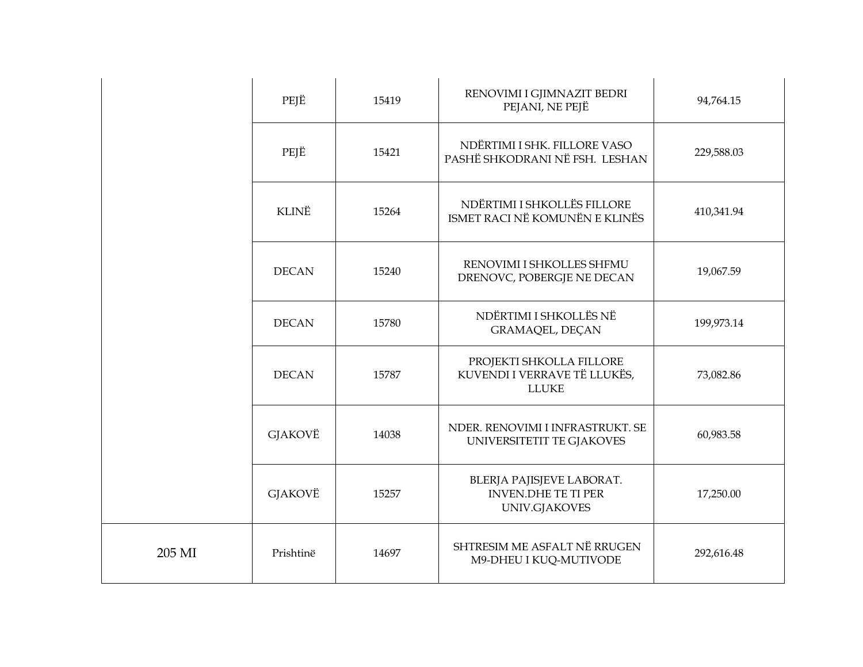|        | PEJË         | 15419 | RENOVIMI I GJIMNAZIT BEDRI<br>PEJANI, NE PEJË                            | 94,764.15  |
|--------|--------------|-------|--------------------------------------------------------------------------|------------|
|        | PEJË         | 15421 | NDËRTIMI I SHK. FILLORE VASO<br>PASHË SHKODRANI NË FSH. LESHAN           | 229,588.03 |
|        | <b>KLINË</b> | 15264 | NDËRTIMI I SHKOLLËS FILLORE<br>ISMET RACI NË KOMUNËN E KLINËS            | 410,341.94 |
|        | <b>DECAN</b> | 15240 | RENOVIMI I SHKOLLES SHFMU<br>DRENOVC, POBERGJE NE DECAN                  | 19,067.59  |
|        | <b>DECAN</b> | 15780 | NDËRTIMI I SHKOLLËS NË<br><b>GRAMAQEL, DECAN</b>                         | 199,973.14 |
|        | <b>DECAN</b> | 15787 | PROJEKTI SHKOLLA FILLORE<br>KUVENDI I VERRAVE TË LLUKËS,<br><b>LLUKE</b> | 73,082.86  |
|        | GJAKOVË      | 14038 | NDER. RENOVIMI I INFRASTRUKT. SE<br>UNIVERSITETIT TE GJAKOVES            | 60,983.58  |
|        | GJAKOVË      | 15257 | BLERJA PAJISJEVE LABORAT.<br><b>INVEN.DHE TE TI PER</b><br>UNIV.GJAKOVES | 17,250.00  |
| 205 MI | Prishtinë    | 14697 | SHTRESIM ME ASFALT NË RRUGEN<br>M9-DHEU I KUQ-MUTIVODE                   | 292,616.48 |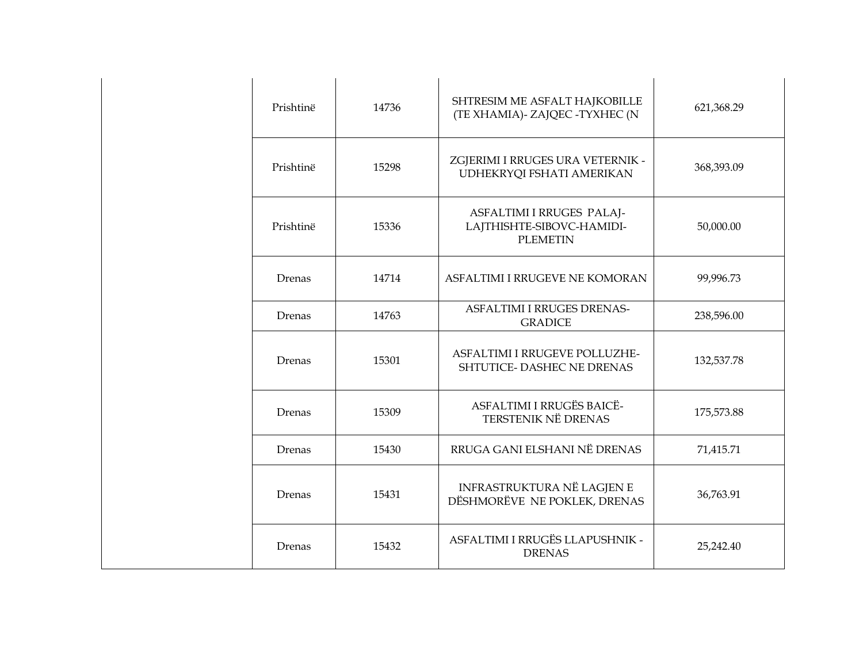| Prishtinë | 14736 | SHTRESIM ME ASFALT HAJKOBILLE<br>(TE XHAMIA)- ZAJQEC - TYXHEC (N          | 621,368.29 |
|-----------|-------|---------------------------------------------------------------------------|------------|
| Prishtinë | 15298 | ZGJERIMI I RRUGES URA VETERNIK -<br>UDHEKRYQI FSHATI AMERIKAN             | 368,393.09 |
| Prishtinë | 15336 | ASFALTIMI I RRUGES PALAJ-<br>LAJTHISHTE-SIBOVC-HAMIDI-<br><b>PLEMETIN</b> | 50,000.00  |
| Drenas    | 14714 | ASFALTIMI I RRUGEVE NE KOMORAN                                            | 99,996.73  |
| Drenas    | 14763 | <b>ASFALTIMI I RRUGES DRENAS-</b><br><b>GRADICE</b>                       | 238,596.00 |
| Drenas    | 15301 | ASFALTIMI I RRUGEVE POLLUZHE-<br>SHTUTICE- DASHEC NE DRENAS               | 132,537.78 |
| Drenas    | 15309 | ASFALTIMI I RRUGËS BAICË-<br><b>TERSTENIK NË DRENAS</b>                   | 175,573.88 |
| Drenas    | 15430 | RRUGA GANI ELSHANI NË DRENAS                                              | 71,415.71  |
| Drenas    | 15431 | INFRASTRUKTURA NË LAGJEN E<br>DËSHMORËVE NE POKLEK, DRENAS                | 36,763.91  |
| Drenas    | 15432 | ASFALTIMI I RRUGËS LLAPUSHNIK -<br><b>DRENAS</b>                          | 25,242.40  |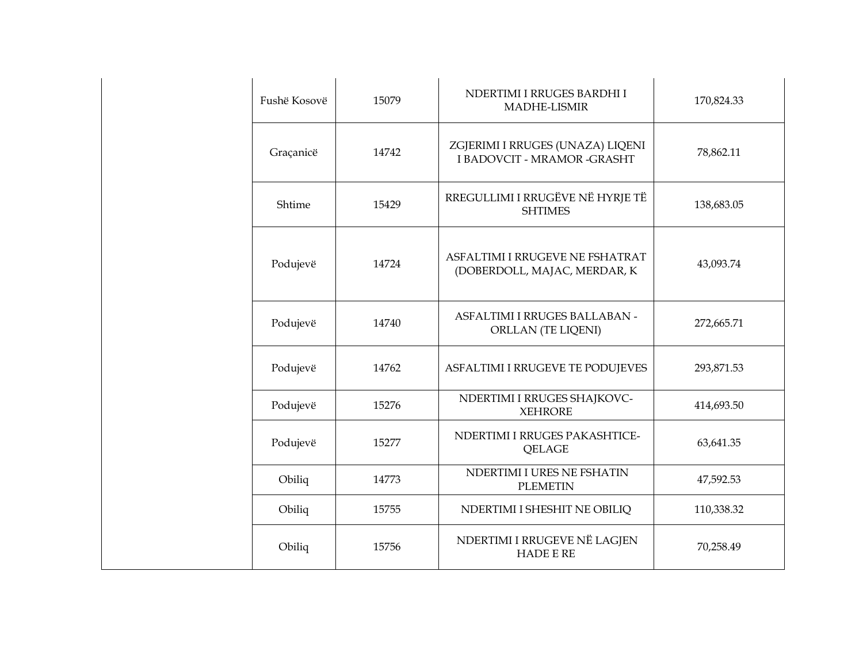| Fushë Kosovë | 15079 | NDERTIMI I RRUGES BARDHI I<br><b>MADHE-LISMIR</b>                      | 170,824.33 |
|--------------|-------|------------------------------------------------------------------------|------------|
| Graçanicë    | 14742 | ZGJERIMI I RRUGES (UNAZA) LIQENI<br><b>I BADOVCIT - MRAMOR -GRASHT</b> | 78,862.11  |
| Shtime       | 15429 | RREGULLIMI I RRUGËVE NË HYRJE TË<br><b>SHTIMES</b>                     | 138,683.05 |
| Podujevë     | 14724 | ASFALTIMI I RRUGEVE NE FSHATRAT<br>(DOBERDOLL, MAJAC, MERDAR, K        | 43,093.74  |
| Podujevë     | 14740 | ASFALTIMI I RRUGES BALLABAN -<br><b>ORLLAN (TE LIQENI)</b>             | 272,665.71 |
| Podujevë     | 14762 | ASFALTIMI I RRUGEVE TE PODUJEVES                                       | 293,871.53 |
| Podujevë     | 15276 | NDERTIMI I RRUGES SHAJKOVC-<br><b>XEHRORE</b>                          | 414,693.50 |
| Podujevë     | 15277 | NDERTIMI I RRUGES PAKASHTICE-<br>QELAGE                                | 63,641.35  |
| Obiliq       | 14773 | NDERTIMI I URES NE FSHATIN<br><b>PLEMETIN</b>                          | 47,592.53  |
| Obiliq       | 15755 | NDERTIMI I SHESHIT NE OBILIQ                                           | 110,338.32 |
| Obiliq       | 15756 | NDERTIMI I RRUGEVE NË LAGJEN<br><b>HADE E RE</b>                       | 70,258.49  |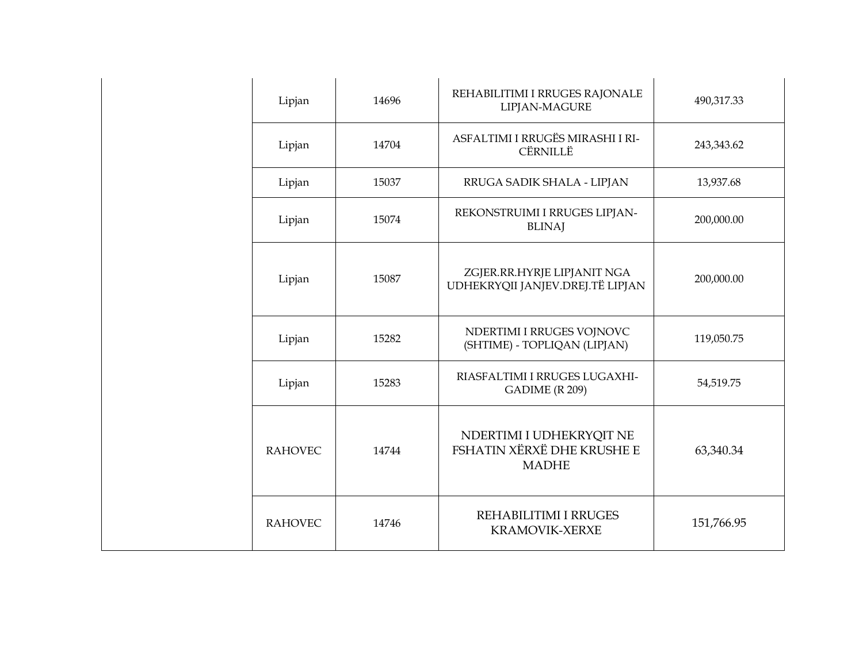| Lipjan         | 14696 | REHABILITIMI I RRUGES RAJONALE<br>LIPJAN-MAGURE                        | 490,317.33 |
|----------------|-------|------------------------------------------------------------------------|------------|
| Lipjan         | 14704 | ASFALTIMI I RRUGËS MIRASHI I RI-<br>CËRNILLË                           | 243,343.62 |
| Lipjan         | 15037 | RRUGA SADIK SHALA - LIPJAN                                             | 13,937.68  |
| Lipjan         | 15074 | REKONSTRUIMI I RRUGES LIPJAN-<br><b>BLINAJ</b>                         | 200,000.00 |
| Lipjan         | 15087 | ZGJER.RR.HYRJE LIPJANIT NGA<br>UDHEKRYQII JANJEV.DREJ.TË LIPJAN        | 200,000.00 |
| Lipjan         | 15282 | NDERTIMI I RRUGES VOJNOVC<br>(SHTIME) - TOPLIQAN (LIPJAN)              | 119,050.75 |
| Lipjan         | 15283 | RIASFALTIMI I RRUGES LUGAXHI-<br>GADIME (R 209)                        | 54,519.75  |
| <b>RAHOVEC</b> | 14744 | NDERTIMI I UDHEKRYQIT NE<br>FSHATIN XËRXË DHE KRUSHE E<br><b>MADHE</b> | 63,340.34  |
| <b>RAHOVEC</b> | 14746 | REHABILITIMI I RRUGES<br><b>KRAMOVIK-XERXE</b>                         | 151,766.95 |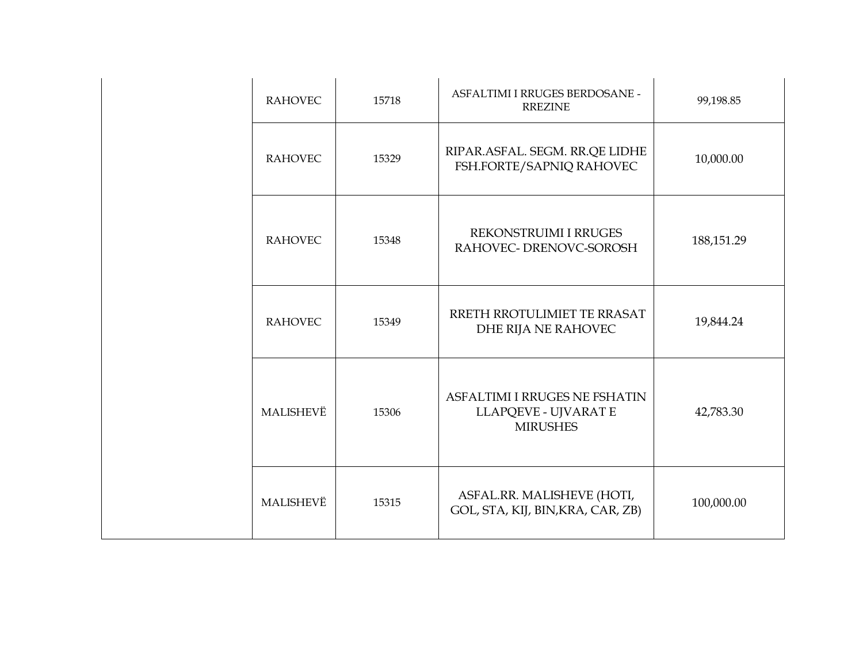| <b>RAHOVEC</b> | 15718 | ASFALTIMI I RRUGES BERDOSANE -<br><b>RREZINE</b>                         | 99,198.85    |
|----------------|-------|--------------------------------------------------------------------------|--------------|
| <b>RAHOVEC</b> | 15329 | RIPAR.ASFAL. SEGM. RR.QE LIDHE<br>FSH.FORTE/SAPNIQ RAHOVEC               | 10,000.00    |
| <b>RAHOVEC</b> | 15348 | REKONSTRUIMI I RRUGES<br>RAHOVEC- DRENOVC-SOROSH                         | 188, 151. 29 |
| <b>RAHOVEC</b> | 15349 | RRETH RROTULIMIET TE RRASAT<br>DHE RIJA NE RAHOVEC                       | 19,844.24    |
| MALISHEVË      | 15306 | ASFALTIMI I RRUGES NE FSHATIN<br>LLAPQEVE - UJVARAT E<br><b>MIRUSHES</b> | 42,783.30    |
| MALISHEVË      | 15315 | ASFAL.RR. MALISHEVE (HOTI,<br>GOL, STA, KIJ, BIN, KRA, CAR, ZB)          | 100,000.00   |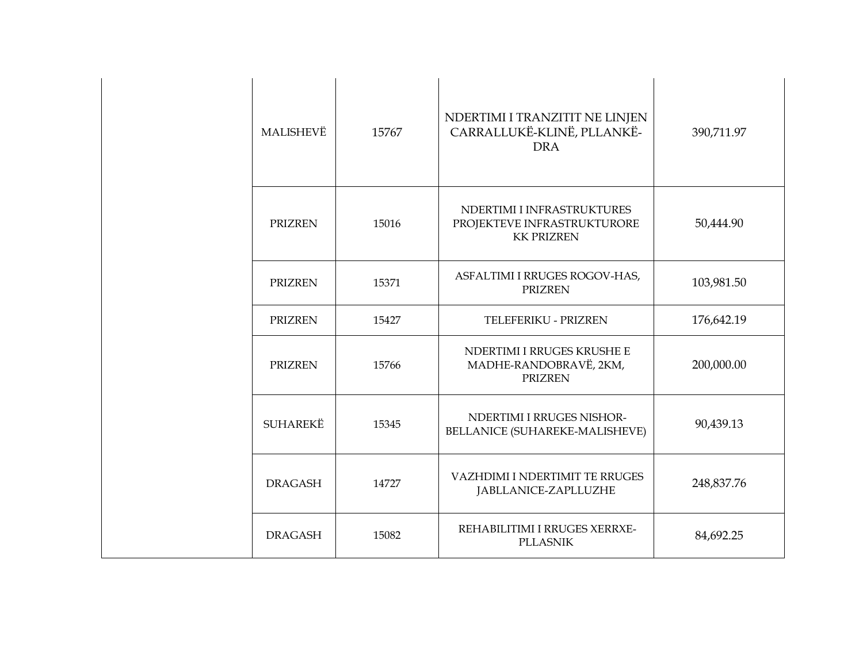| MALISHEVË       | 15767 | NDERTIMI I TRANZITIT NE LINJEN<br>CARRALLUKË-KLINË, PLLANKË-<br><b>DRA</b>     | 390,711.97 |
|-----------------|-------|--------------------------------------------------------------------------------|------------|
| <b>PRIZREN</b>  | 15016 | NDERTIMI I INFRASTRUKTURES<br>PROJEKTEVE INFRASTRUKTURORE<br><b>KK PRIZREN</b> | 50,444.90  |
| <b>PRIZREN</b>  | 15371 | ASFALTIMI I RRUGES ROGOV-HAS,<br><b>PRIZREN</b>                                | 103,981.50 |
| <b>PRIZREN</b>  | 15427 | TELEFERIKU - PRIZREN                                                           | 176,642.19 |
| <b>PRIZREN</b>  | 15766 | NDERTIMI I RRUGES KRUSHE E<br>MADHE-RANDOBRAVË, 2KM,<br><b>PRIZREN</b>         | 200,000.00 |
| <b>SUHAREKË</b> | 15345 | NDERTIMI I RRUGES NISHOR-<br>BELLANICE (SUHAREKE-MALISHEVE)                    | 90,439.13  |
| <b>DRAGASH</b>  | 14727 | VAZHDIMI I NDERTIMIT TE RRUGES<br>JABLLANICE-ZAPLLUZHE                         | 248,837.76 |
| <b>DRAGASH</b>  | 15082 | REHABILITIMI I RRUGES XERRXE-<br><b>PLLASNIK</b>                               | 84,692.25  |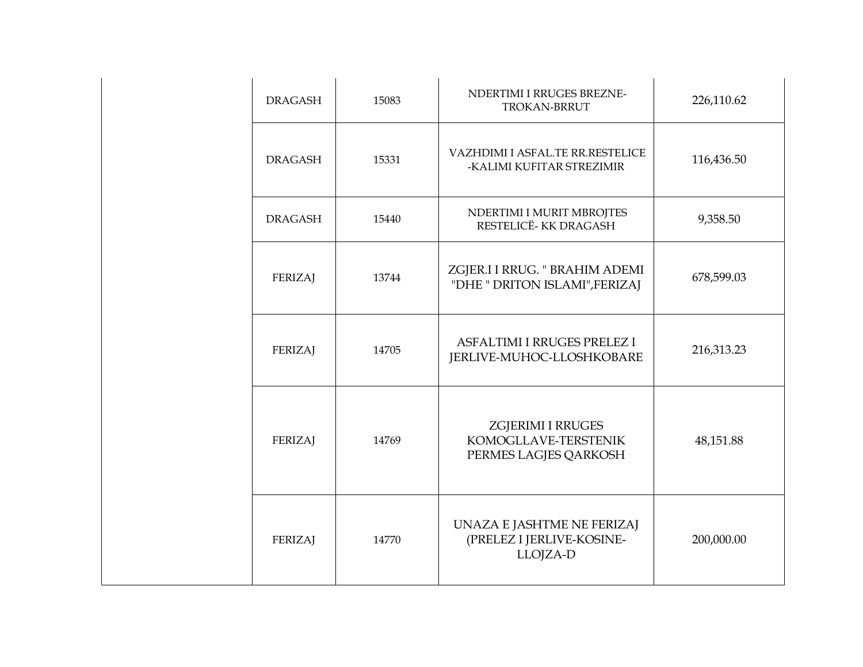| <b>DRAGASH</b> | 15083 | NDERTIMI I RRUGES BREZNE-<br>TROKAN-BRRUT                                 | 226,110.62 |
|----------------|-------|---------------------------------------------------------------------------|------------|
| <b>DRAGASH</b> | 15331 | VAZHDIMI I ASFAL.TE RR.RESTELICE<br>-KALIMI KUFITAR STREZIMIR             | 116,436.50 |
| <b>DRAGASH</b> | 15440 | NDERTIMI I MURIT MBROJTES<br>RESTELICË-KK DRAGASH                         | 9,358.50   |
| <b>FERIZAJ</b> | 13744 | ZGJER.I I RRUG. " BRAHIM ADEMI<br>"DHE " DRITON ISLAMI", FERIZAJ          | 678,599.03 |
| <b>FERIZAJ</b> | 14705 | ASFALTIMI I RRUGES PRELEZ I<br>JERLIVE-MUHOC-LLOSHKOBARE                  | 216,313.23 |
| <b>FERIZAJ</b> | 14769 | <b>ZGJERIMI I RRUGES</b><br>KOMOGLLAVE-TERSTENIK<br>PERMES LAGJES QARKOSH | 48,151.88  |
| FERIZAJ        | 14770 | UNAZA E JASHTME NE FERIZAJ<br>(PRELEZ I JERLIVE-KOSINE-<br>LLOJZA-D       | 200,000.00 |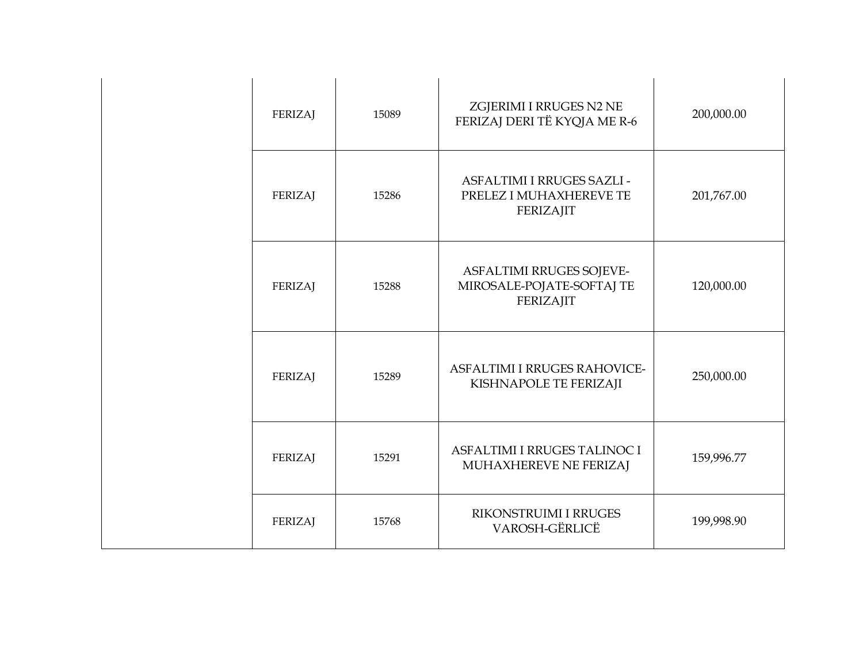| <b>FERIZAJ</b> | 15089 | ZGJERIMI I RRUGES N2 NE<br>FERIZAJ DERI TË KYQJA ME R-6                   | 200,000.00 |
|----------------|-------|---------------------------------------------------------------------------|------------|
| <b>FERIZAJ</b> | 15286 | ASFALTIMI I RRUGES SAZLI -<br>PRELEZ I MUHAXHEREVE TE<br><b>FERIZAJIT</b> | 201,767.00 |
| <b>FERIZAJ</b> | 15288 | ASFALTIMI RRUGES SOJEVE-<br>MIROSALE-POJATE-SOFTAJ TE<br>FERIZAJIT        | 120,000.00 |
| FERIZAJ        | 15289 | <b>ASFALTIMI I RRUGES RAHOVICE-</b><br>KISHNAPOLE TE FERIZAJI             | 250,000.00 |
| <b>FERIZAJ</b> | 15291 | ASFALTIMI I RRUGES TALINOC I<br>MUHAXHEREVE NE FERIZAJ                    | 159,996.77 |
| <b>FERIZAJ</b> | 15768 | RIKONSTRUIMI I RRUGES<br>VAROSH-GËRLICË                                   | 199,998.90 |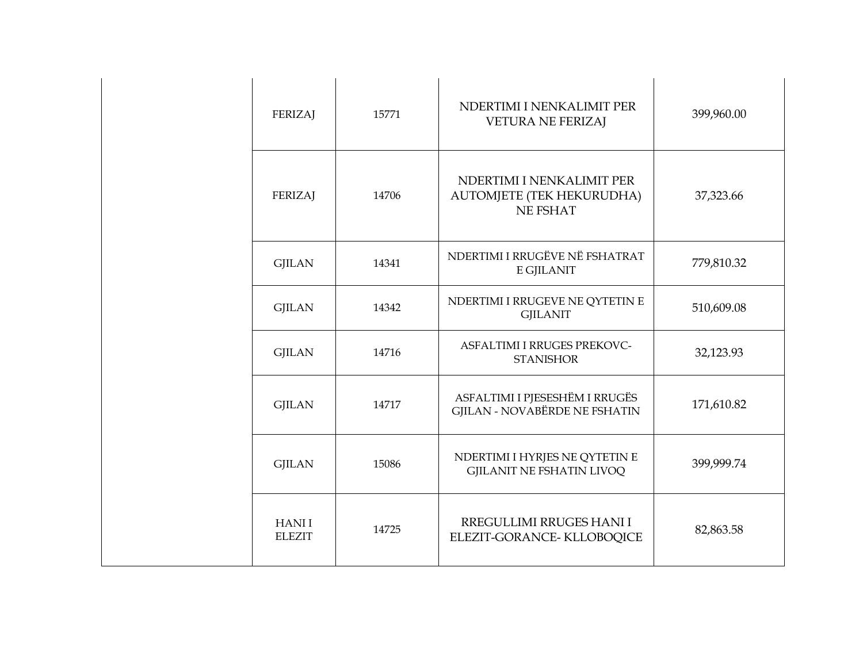| <b>FERIZAJ</b>                | 15771 | NDERTIMI I NENKALIMIT PER<br><b>VETURA NE FERIZAJ</b>                     | 399,960.00 |
|-------------------------------|-------|---------------------------------------------------------------------------|------------|
| <b>FERIZAJ</b>                | 14706 | NDERTIMI I NENKALIMIT PER<br>AUTOMJETE (TEK HEKURUDHA)<br><b>NE FSHAT</b> | 37,323.66  |
| <b>GJILAN</b>                 | 14341 | NDERTIMI I RRUGËVE NË FSHATRAT<br>E GJILANIT                              | 779,810.32 |
| <b>GJILAN</b>                 | 14342 | NDERTIMI I RRUGEVE NE QYTETIN E<br><b>GJILANIT</b>                        | 510,609.08 |
| <b>GJILAN</b>                 | 14716 | ASFALTIMI I RRUGES PREKOVC-<br><b>STANISHOR</b>                           | 32,123.93  |
| <b>GJILAN</b>                 | 14717 | ASFALTIMI I PJESESHËM I RRUGËS<br><b>GJILAN - NOVABËRDE NE FSHATIN</b>    | 171,610.82 |
| <b>GJILAN</b>                 | 15086 | NDERTIMI I HYRJES NE QYTETIN E<br><b>GJILANIT NE FSHATIN LIVOQ</b>        | 399,999.74 |
| <b>HANII</b><br><b>ELEZIT</b> | 14725 | RREGULLIMI RRUGES HANI I<br>ELEZIT-GORANCE-KLLOBOQICE                     | 82,863.58  |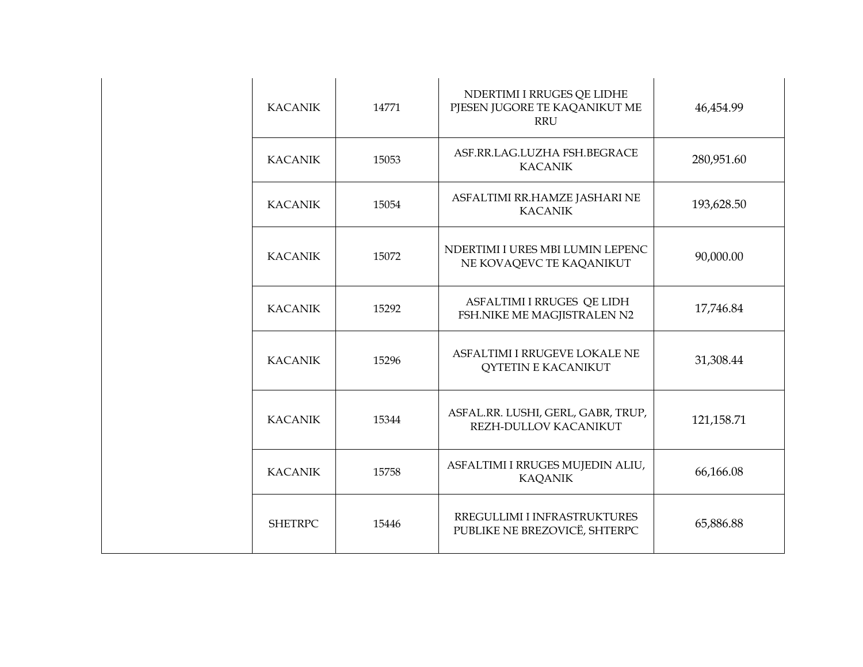| <b>KACANIK</b> | 14771 | NDERTIMI I RRUGES QE LIDHE<br>PJESEN JUGORE TE KAQANIKUT ME<br><b>RRU</b> | 46,454.99    |
|----------------|-------|---------------------------------------------------------------------------|--------------|
| <b>KACANIK</b> | 15053 | ASF.RR.LAG.LUZHA FSH.BEGRACE<br><b>KACANIK</b>                            | 280,951.60   |
| <b>KACANIK</b> | 15054 | ASFALTIMI RR.HAMZE JASHARI NE<br><b>KACANIK</b>                           | 193,628.50   |
| <b>KACANIK</b> | 15072 | NDERTIMI I URES MBI LUMIN LEPENC<br>NE KOVAQEVC TE KAQANIKUT              | 90,000.00    |
| <b>KACANIK</b> | 15292 | ASFALTIMI I RRUGES QE LIDH<br>FSH.NIKE ME MAGJISTRALEN N2                 | 17,746.84    |
| <b>KACANIK</b> | 15296 | ASFALTIMI I RRUGEVE LOKALE NE<br><b>QYTETIN E KACANIKUT</b>               | 31,308.44    |
| <b>KACANIK</b> | 15344 | ASFAL.RR. LUSHI, GERL, GABR, TRUP,<br>REZH-DULLOV KACANIKUT               | 121, 158. 71 |
| <b>KACANIK</b> | 15758 | ASFALTIMI I RRUGES MUJEDIN ALIU,<br><b>KAQANIK</b>                        | 66,166.08    |
| <b>SHETRPC</b> | 15446 | RREGULLIMI I INFRASTRUKTURES<br>PUBLIKE NE BREZOVICË, SHTERPC             | 65,886.88    |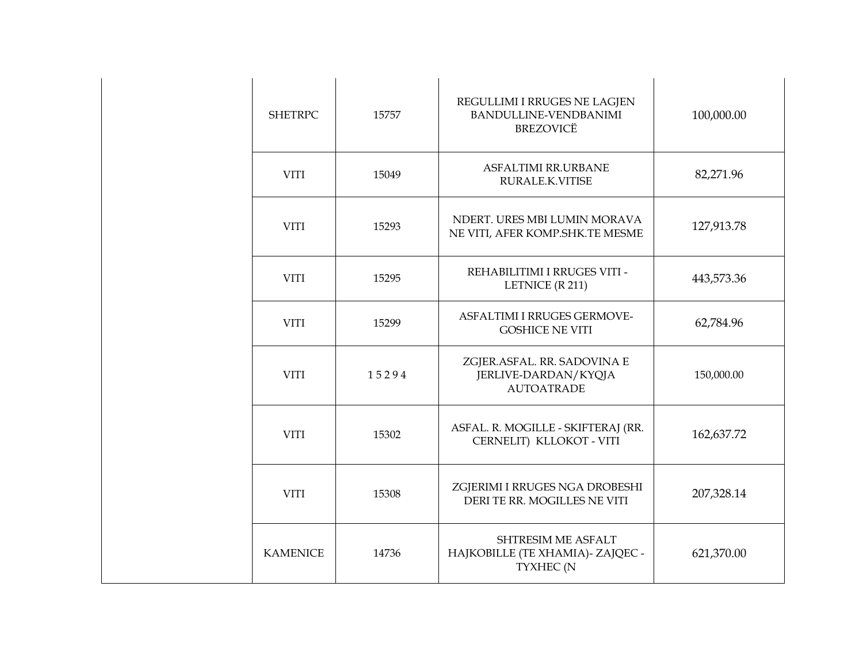| <b>SHETRPC</b>  | 15757 | REGULLIMI I RRUGES NE LAGJEN<br>BANDULLINE-VENDBANIMI<br><b>BREZOVICË</b>   | 100,000.00 |
|-----------------|-------|-----------------------------------------------------------------------------|------------|
| <b>VITI</b>     | 15049 | ASFALTIMI RR.URBANE<br>RURALE.K.VITISE                                      | 82,271.96  |
| <b>VITI</b>     | 15293 | NDERT. URES MBI LUMIN MORAVA<br>NE VITI, AFER KOMP.SHK.TE MESME             | 127,913.78 |
| <b>VITI</b>     | 15295 | REHABILITIMI I RRUGES VITI -<br>LETNICE (R 211)                             | 443,573.36 |
| <b>VITI</b>     | 15299 | <b>ASFALTIMI I RRUGES GERMOVE-</b><br><b>GOSHICE NE VITI</b>                | 62,784.96  |
| <b>VITI</b>     | 15294 | ZGJER.ASFAL. RR. SADOVINA E<br>JERLIVE-DARDAN/KYQJA<br><b>AUTOATRADE</b>    | 150,000.00 |
| <b>VITI</b>     | 15302 | ASFAL. R. MOGILLE - SKIFTERAJ (RR.<br>CERNELIT) KLLOKOT - VITI              | 162,637.72 |
| <b>VITI</b>     | 15308 | ZGJERIMI I RRUGES NGA DROBESHI<br>DERI TE RR. MOGILLES NE VITI              | 207,328.14 |
| <b>KAMENICE</b> | 14736 | <b>SHTRESIM ME ASFALT</b><br>HAJKOBILLE (TE XHAMIA) - ZAJQEC -<br>TYXHEC (N | 621,370.00 |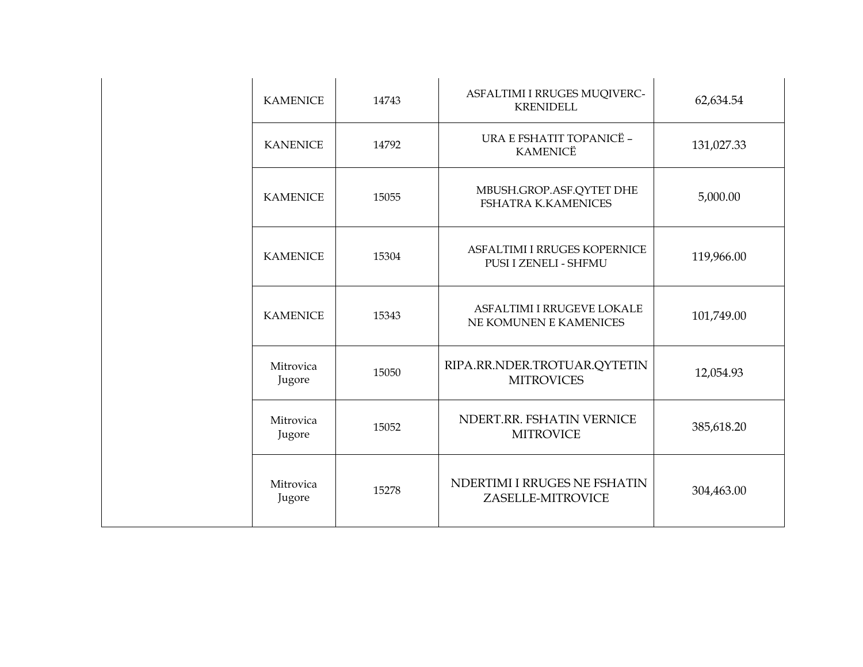| <b>KAMENICE</b>     | 14743 | ASFALTIMI I RRUGES MUQIVERC-<br><b>KRENIDELL</b>             | 62,634.54  |
|---------------------|-------|--------------------------------------------------------------|------------|
| <b>KANENICE</b>     | 14792 | URA E FSHATIT TOPANICË -<br><b>KAMENICË</b>                  | 131,027.33 |
| <b>KAMENICE</b>     | 15055 | MBUSH.GROP.ASF.QYTET DHE<br><b>FSHATRA K.KAMENICES</b>       | 5,000.00   |
| <b>KAMENICE</b>     | 15304 | <b>ASFALTIMI I RRUGES KOPERNICE</b><br>PUSI I ZENELI - SHFMU | 119,966.00 |
| <b>KAMENICE</b>     | 15343 | ASFALTIMI I RRUGEVE LOKALE<br>NE KOMUNEN E KAMENICES         | 101,749.00 |
| Mitrovica<br>Jugore | 15050 | RIPA.RR.NDER.TROTUAR.QYTETIN<br><b>MITROVICES</b>            | 12,054.93  |
| Mitrovica<br>Jugore | 15052 | NDERT.RR. FSHATIN VERNICE<br><b>MITROVICE</b>                | 385,618.20 |
| Mitrovica<br>Jugore | 15278 | NDERTIMI I RRUGES NE FSHATIN<br>ZASELLE-MITROVICE            | 304,463.00 |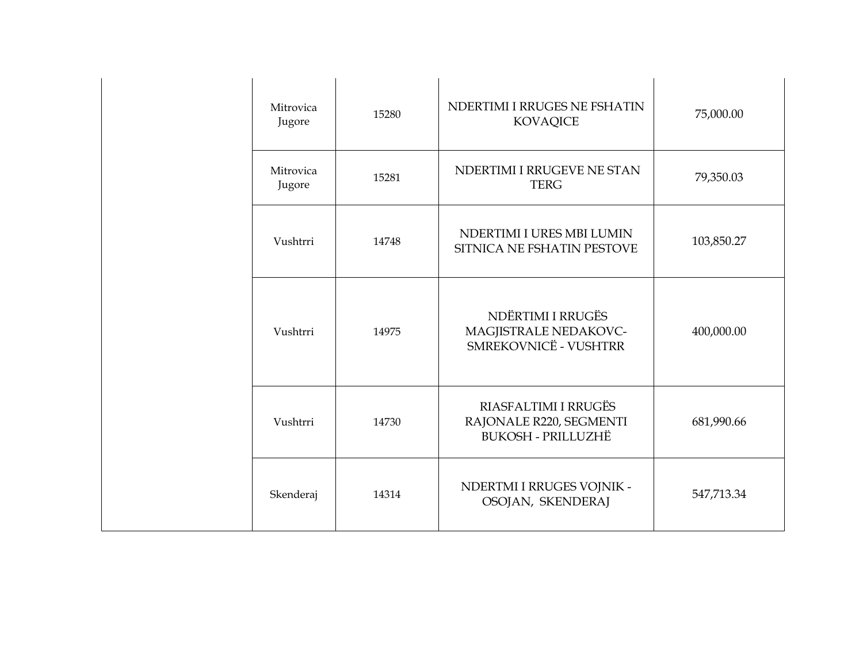| Mitrovica<br>Jugore | 15280 | NDERTIMI I RRUGES NE FSHATIN<br><b>KOVAQICE</b>                              | 75,000.00  |
|---------------------|-------|------------------------------------------------------------------------------|------------|
| Mitrovica<br>Jugore | 15281 | NDERTIMI I RRUGEVE NE STAN<br><b>TERG</b>                                    | 79,350.03  |
| Vushtrri            | 14748 | NDERTIMI I URES MBI LUMIN<br>SITNICA NE FSHATIN PESTOVE                      | 103,850.27 |
| Vushtrri            | 14975 | NDËRTIMI I RRUGËS<br>MAGJISTRALE NEDAKOVC-<br>SMREKOVNICË - VUSHTRR          | 400,000.00 |
| Vushtrri            | 14730 | RIASFALTIMI I RRUGËS<br>RAJONALE R220, SEGMENTI<br><b>BUKOSH - PRILLUZHË</b> | 681,990.66 |
| Skenderaj           | 14314 | NDERTMI I RRUGES VOJNIK -<br>OSOJAN, SKENDERAJ                               | 547,713.34 |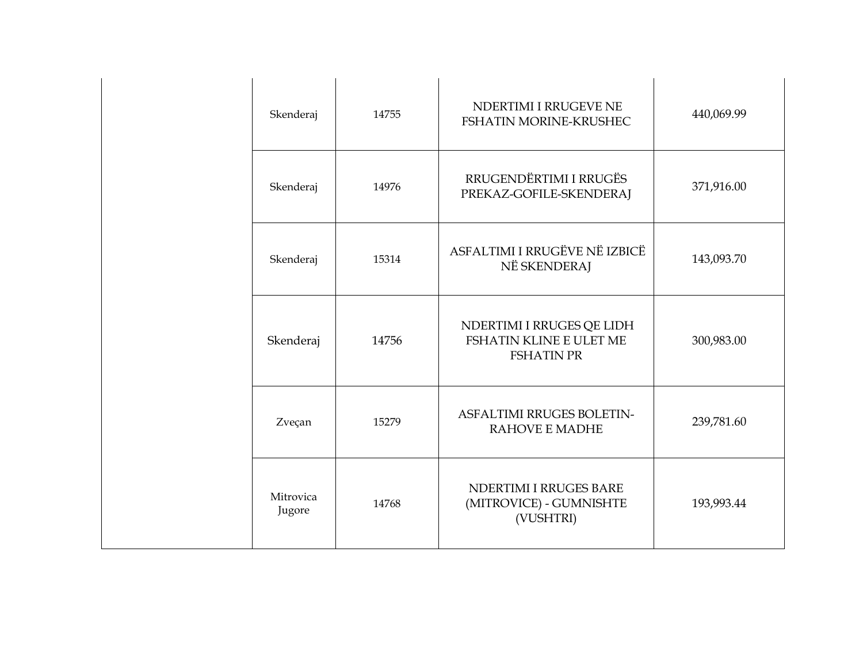| Skenderaj           | 14755 | NDERTIMI I RRUGEVE NE<br>FSHATIN MORINE-KRUSHEC                           | 440,069.99 |
|---------------------|-------|---------------------------------------------------------------------------|------------|
| Skenderaj           | 14976 | RRUGENDËRTIMI I RRUGËS<br>PREKAZ-GOFILE-SKENDERAJ                         | 371,916.00 |
| Skenderaj           | 15314 | ASFALTIMI I RRUGËVE NË IZBICË<br>NË SKENDERAJ                             | 143,093.70 |
| Skenderaj           | 14756 | NDERTIMI I RRUGES QE LIDH<br>FSHATIN KLINE E ULET ME<br><b>FSHATIN PR</b> | 300,983.00 |
| Zveçan              | 15279 | <b>ASFALTIMI RRUGES BOLETIN-</b><br><b>RAHOVE E MADHE</b>                 | 239,781.60 |
| Mitrovica<br>Jugore | 14768 | NDERTIMI I RRUGES BARE<br>(MITROVICE) - GUMNISHTE<br>(VUSHTRI)            | 193,993.44 |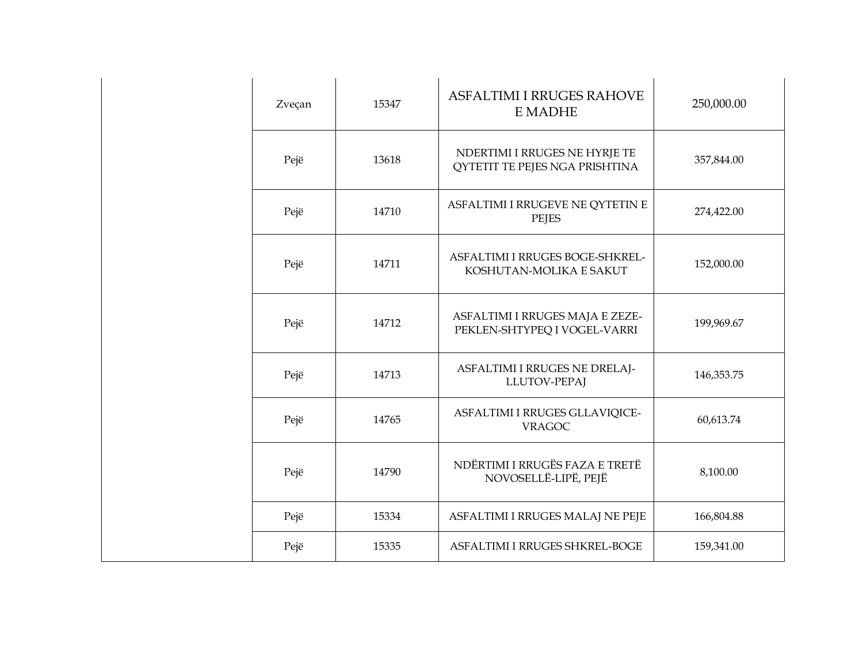| Zveçan | 15347 | <b>ASFALTIMI I RRUGES RAHOVE</b><br>E MADHE                     | 250,000.00 |
|--------|-------|-----------------------------------------------------------------|------------|
| Pejë   | 13618 | NDERTIMI I RRUGES NE HYRJE TE<br>QYTETIT TE PEJES NGA PRISHTINA | 357,844.00 |
| Pejë   | 14710 | ASFALTIMI I RRUGEVE NE QYTETIN E<br><b>PEJES</b>                | 274,422.00 |
| Pejë   | 14711 | ASFALTIMI I RRUGES BOGE-SHKREL-<br>KOSHUTAN-MOLIKA E SAKUT      | 152,000.00 |
| Pejë   | 14712 | ASFALTIMI I RRUGES MAJA E ZEZE-<br>PEKLEN-SHTYPEQ I VOGEL-VARRI | 199,969.67 |
| Pejë   | 14713 | ASFALTIMI I RRUGES NE DRELAJ-<br>LLUTOV-PEPAJ                   | 146,353.75 |
| Pejë   | 14765 | ASFALTIMI I RRUGES GLLAVIQICE-<br><b>VRAGOC</b>                 | 60,613.74  |
| Pejë   | 14790 | NDËRTIMI I RRUGËS FAZA E TRETË<br>NOVOSELLË-LIPË, PEJË          | 8,100.00   |
| Pejë   | 15334 | ASFALTIMI I RRUGES MALAJ NE PEJE                                | 166,804.88 |
| Pejë   | 15335 | ASFALTIMI I RRUGES SHKREL-BOGE                                  | 159,341.00 |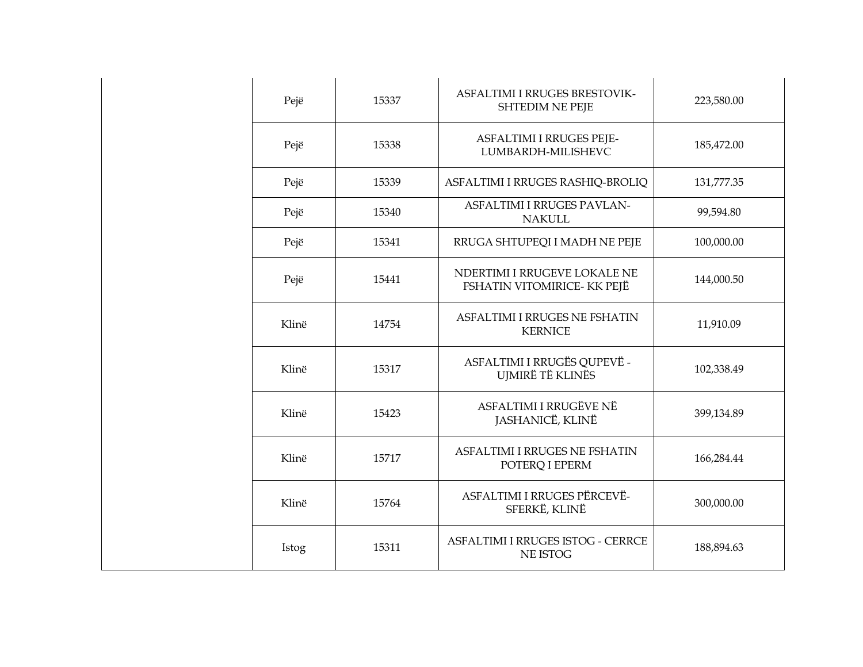| Pejë  | 15337 | ASFALTIMI I RRUGES BRESTOVIK-<br><b>SHTEDIM NE PEJE</b>     | 223,580.00 |
|-------|-------|-------------------------------------------------------------|------------|
| Pejë  | 15338 | ASFALTIMI I RRUGES PEJE-<br>LUMBARDH-MILISHEVC              | 185,472.00 |
| Pejë  | 15339 | ASFALTIMI I RRUGES RASHIQ-BROLIQ                            | 131,777.35 |
| Pejë  | 15340 | ASFALTIMI I RRUGES PAVLAN-<br><b>NAKULL</b>                 | 99,594.80  |
| Pejë  | 15341 | RRUGA SHTUPEQI I MADH NE PEJE                               | 100,000.00 |
| Pejë  | 15441 | NDERTIMI I RRUGEVE LOKALE NE<br>FSHATIN VITOMIRICE- KK PEJË | 144,000.50 |
| Klinë | 14754 | <b>ASFALTIMI I RRUGES NE FSHATIN</b><br><b>KERNICE</b>      | 11,910.09  |
| Klinë | 15317 | ASFALTIMI I RRUGËS QUPEVË -<br>UJMIRË TË KLINËS             | 102,338.49 |
| Klinë | 15423 | ASFALTIMI I RRUGËVE NË<br>JASHANICË, KLINË                  | 399,134.89 |
| Klinë | 15717 | ASFALTIMI I RRUGES NE FSHATIN<br>POTERQ I EPERM             | 166,284.44 |
| Klinë | 15764 | ASFALTIMI I RRUGES PËRCEVË-<br>SFERKË, KLINË                | 300,000.00 |
| Istog | 15311 | ASFALTIMI I RRUGES ISTOG - CERRCE<br>NE ISTOG               | 188,894.63 |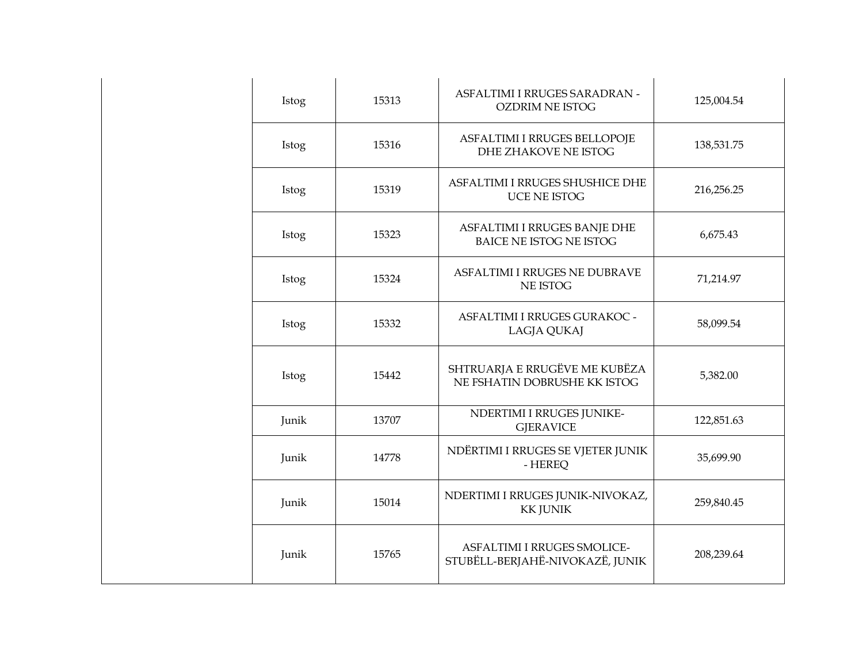| Istog | 15313 | ASFALTIMI I RRUGES SARADRAN -<br><b>OZDRIM NE ISTOG</b>        | 125,004.54 |
|-------|-------|----------------------------------------------------------------|------------|
| Istog | 15316 | ASFALTIMI I RRUGES BELLOPOJE<br><b>DHE ZHAKOVE NE ISTOG</b>    | 138,531.75 |
| Istog | 15319 | ASFALTIMI I RRUGES SHUSHICE DHE<br>UCE NE ISTOG                | 216,256.25 |
| Istog | 15323 | ASFALTIMI I RRUGES BANJE DHE<br><b>BAICE NE ISTOG NE ISTOG</b> | 6,675.43   |
| Istog | 15324 | ASFALTIMI I RRUGES NE DUBRAVE<br>NE ISTOG                      | 71,214.97  |
| Istog | 15332 | ASFALTIMI I RRUGES GURAKOC -<br>LAGJA QUKAJ                    | 58,099.54  |
| Istog | 15442 | SHTRUARJA E RRUGËVE ME KUBËZA<br>NE FSHATIN DOBRUSHE KK ISTOG  | 5,382.00   |
| Junik | 13707 | NDERTIMI I RRUGES JUNIKE-<br><b>GJERAVICE</b>                  | 122,851.63 |
| Junik | 14778 | NDËRTIMI I RRUGES SE VJETER JUNIK<br>- HEREQ                   | 35,699.90  |
| Junik | 15014 | NDERTIMI I RRUGES JUNIK-NIVOKAZ,<br><b>KK JUNIK</b>            | 259,840.45 |
| Junik | 15765 | ASFALTIMI I RRUGES SMOLICE-<br>STUBËLL-BERJAHË-NIVOKAZË, JUNIK | 208,239.64 |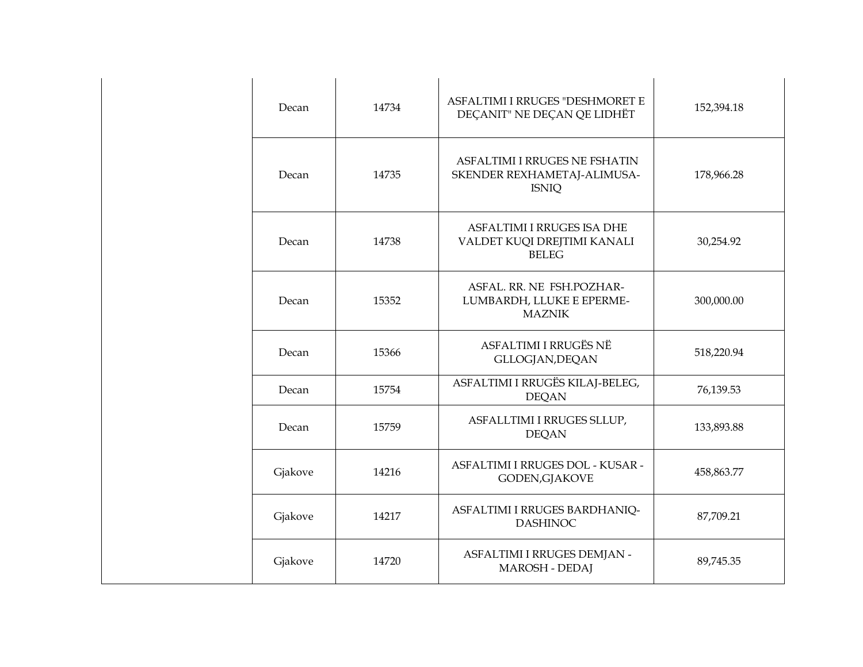| Decan   | 14734 | ASFALTIMI I RRUGES "DESHMORET E<br>DECANIT" NE DECAN QE LIDHËT               | 152,394.18 |
|---------|-------|------------------------------------------------------------------------------|------------|
| Decan   | 14735 | ASFALTIMI I RRUGES NE FSHATIN<br>SKENDER REXHAMETAJ-ALIMUSA-<br><b>ISNIQ</b> | 178,966.28 |
| Decan   | 14738 | ASFALTIMI I RRUGES ISA DHE<br>VALDET KUQI DREJTIMI KANALI<br><b>BELEG</b>    | 30,254.92  |
| Decan   | 15352 | ASFAL. RR. NE FSH.POZHAR-<br>LUMBARDH, LLUKE E EPERME-<br><b>MAZNIK</b>      | 300,000.00 |
| Decan   | 15366 | ASFALTIMI I RRUGËS NË<br>GLLOGJAN, DEQAN                                     | 518,220.94 |
| Decan   | 15754 | ASFALTIMI I RRUGËS KILAJ-BELEG,<br><b>DEQAN</b>                              | 76,139.53  |
| Decan   | 15759 | ASFALLTIMI I RRUGES SLLUP,<br><b>DEQAN</b>                                   | 133,893.88 |
| Gjakove | 14216 | ASFALTIMI I RRUGES DOL - KUSAR -<br>GODEN, GJAKOVE                           | 458,863.77 |
| Gjakove | 14217 | ASFALTIMI I RRUGES BARDHANIQ-<br><b>DASHINOC</b>                             | 87,709.21  |
| Gjakove | 14720 | ASFALTIMI I RRUGES DEMJAN -<br>MAROSH - DEDAJ                                | 89,745.35  |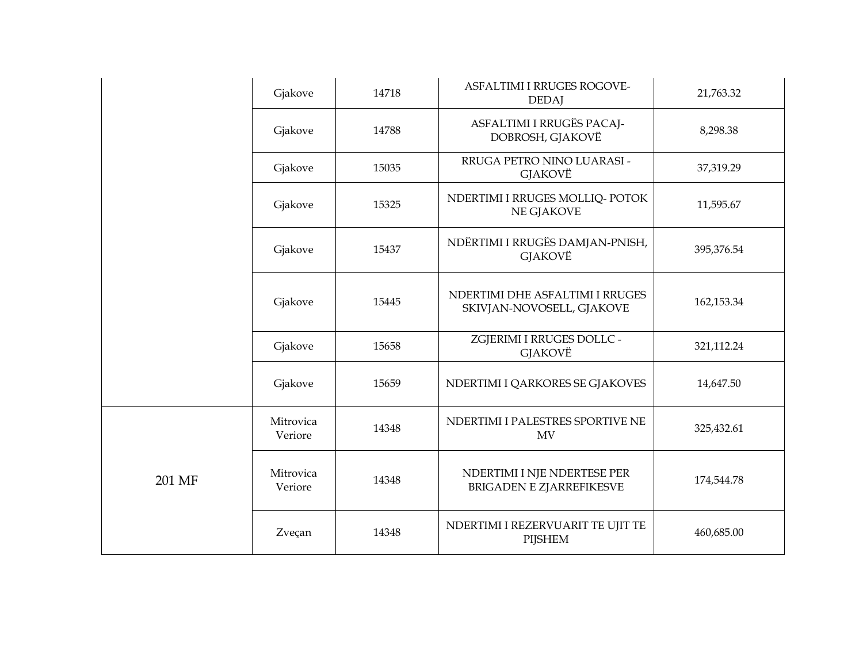|        | Gjakove              | 14718 | ASFALTIMI I RRUGES ROGOVE-<br><b>DEDAJ</b>                     | 21,763.32  |
|--------|----------------------|-------|----------------------------------------------------------------|------------|
|        | Gjakove              | 14788 | ASFALTIMI I RRUGËS PACAJ-<br>DOBROSH, GJAKOVË                  | 8,298.38   |
|        | Gjakove              | 15035 | RRUGA PETRO NINO LUARASI -<br>GJAKOVË                          | 37,319.29  |
|        | Gjakove              | 15325 | NDERTIMI I RRUGES MOLLIQ- POTOK<br>NE GJAKOVE                  | 11,595.67  |
|        | Gjakove              | 15437 | NDËRTIMI I RRUGËS DAMJAN-PNISH,<br><b>GJAKOVË</b>              | 395,376.54 |
|        | Gjakove              | 15445 | NDERTIMI DHE ASFALTIMI I RRUGES<br>SKIVJAN-NOVOSELL, GJAKOVE   | 162,153.34 |
|        | Gjakove              | 15658 | ZGJERIMI I RRUGES DOLLC -<br>GJAKOVË                           | 321,112.24 |
|        | Gjakove              | 15659 | NDERTIMI I QARKORES SE GJAKOVES                                | 14,647.50  |
|        | Mitrovica<br>Veriore | 14348 | NDERTIMI I PALESTRES SPORTIVE NE<br>MV                         | 325,432.61 |
| 201 MF | Mitrovica<br>Veriore | 14348 | NDERTIMI I NJE NDERTESE PER<br><b>BRIGADEN E ZJARREFIKESVE</b> | 174,544.78 |
|        | Zveçan               | 14348 | NDERTIMI I REZERVUARIT TE UJIT TE<br><b>PIJSHEM</b>            | 460,685.00 |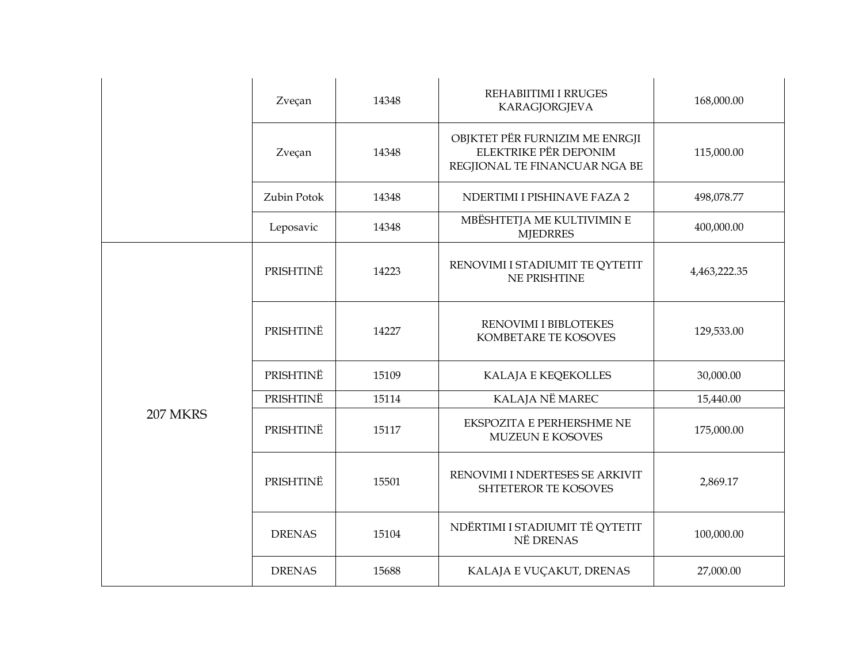|                 | Zveçan        | 14348 | REHABIITIMI I RRUGES<br><b>KARAGJORGJEVA</b>                                             | 168,000.00   |
|-----------------|---------------|-------|------------------------------------------------------------------------------------------|--------------|
|                 | Zveçan        | 14348 | OBJKTET PËR FURNIZIM ME ENRGJI<br>ELEKTRIKE PËR DEPONIM<br>REGJIONAL TE FINANCUAR NGA BE | 115,000.00   |
|                 | Zubin Potok   | 14348 | NDERTIMI I PISHINAVE FAZA 2                                                              | 498,078.77   |
|                 | Leposavic     | 14348 | MBËSHTETJA ME KULTIVIMIN E<br><b>MJEDRRES</b>                                            | 400,000.00   |
|                 | PRISHTINË     | 14223 | RENOVIMI I STADIUMIT TE QYTETIT<br><b>NE PRISHTINE</b>                                   | 4,463,222.35 |
|                 | PRISHTINË     | 14227 | RENOVIMI I BIBLOTEKES<br>KOMBETARE TE KOSOVES                                            | 129,533.00   |
|                 | PRISHTINË     | 15109 | KALAJA E KEQEKOLLES                                                                      | 30,000.00    |
|                 | PRISHTINË     | 15114 | KALAJA NË MAREC                                                                          | 15,440.00    |
| <b>207 MKRS</b> | PRISHTINË     | 15117 | <b>EKSPOZITA E PERHERSHME NE</b><br><b>MUZEUN E KOSOVES</b>                              | 175,000.00   |
|                 | PRISHTINË     | 15501 | RENOVIMI I NDERTESES SE ARKIVIT<br>SHTETEROR TE KOSOVES                                  | 2,869.17     |
|                 | <b>DRENAS</b> | 15104 | NDËRTIMI I STADIUMIT TË QYTETIT<br>NË DRENAS                                             | 100,000.00   |
|                 | <b>DRENAS</b> | 15688 | KALAJA E VUÇAKUT, DRENAS                                                                 | 27,000.00    |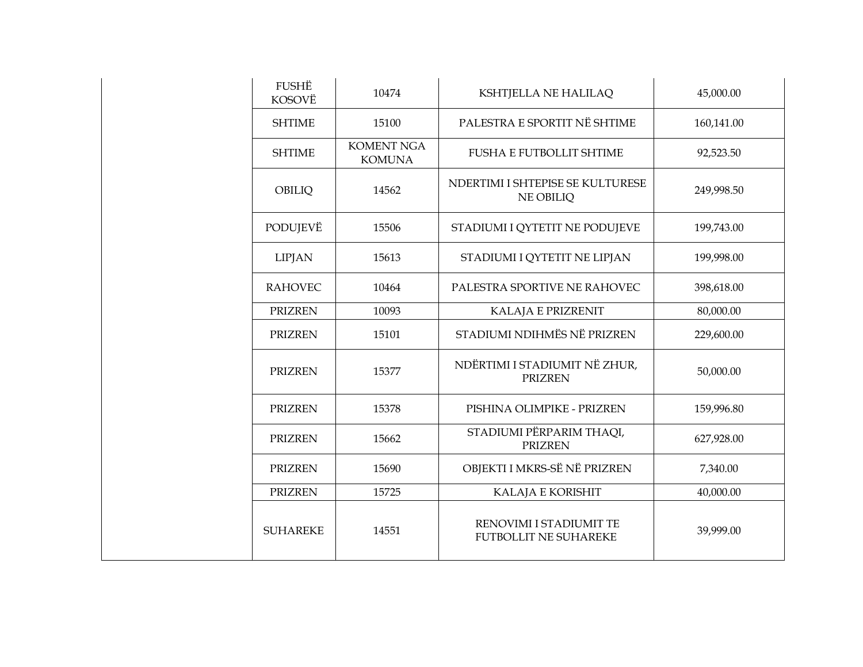| FUSHË<br>KOSOVË | 10474                              | KSHTJELLA NE HALILAQ                                    | 45,000.00  |
|-----------------|------------------------------------|---------------------------------------------------------|------------|
| <b>SHTIME</b>   | 15100                              | PALESTRA E SPORTIT NË SHTIME                            | 160,141.00 |
| <b>SHTIME</b>   | <b>KOMENT NGA</b><br><b>KOMUNA</b> | <b>FUSHA E FUTBOLLIT SHTIME</b>                         | 92,523.50  |
| OBILIQ          | 14562                              | NDERTIMI I SHTEPISE SE KULTURESE<br><b>NE OBILIQ</b>    | 249,998.50 |
| PODUJEVË        | 15506                              | STADIUMI I QYTETIT NE PODUJEVE                          | 199,743.00 |
| <b>LIPJAN</b>   | 15613                              | STADIUMI I QYTETIT NE LIPJAN                            | 199,998.00 |
| <b>RAHOVEC</b>  | 10464                              | PALESTRA SPORTIVE NE RAHOVEC                            | 398,618.00 |
| <b>PRIZREN</b>  | 10093                              | KALAJA E PRIZRENIT                                      | 80,000.00  |
| <b>PRIZREN</b>  | 15101                              | STADIUMI NDIHMËS NË PRIZREN                             | 229,600.00 |
| <b>PRIZREN</b>  | 15377                              | NDËRTIMI I STADIUMIT NË ZHUR,<br><b>PRIZREN</b>         | 50,000.00  |
| <b>PRIZREN</b>  | 15378                              | PISHINA OLIMPIKE - PRIZREN                              | 159,996.80 |
| <b>PRIZREN</b>  | 15662                              | STADIUMI PËRPARIM THAQI,<br><b>PRIZREN</b>              | 627,928.00 |
| <b>PRIZREN</b>  | 15690                              | OBJEKTI I MKRS-SË NË PRIZREN                            | 7,340.00   |
| <b>PRIZREN</b>  | 15725                              | KALAJA E KORISHIT                                       | 40,000.00  |
| <b>SUHAREKE</b> | 14551                              | RENOVIMI I STADIUMIT TE<br><b>FUTBOLLIT NE SUHAREKE</b> | 39,999.00  |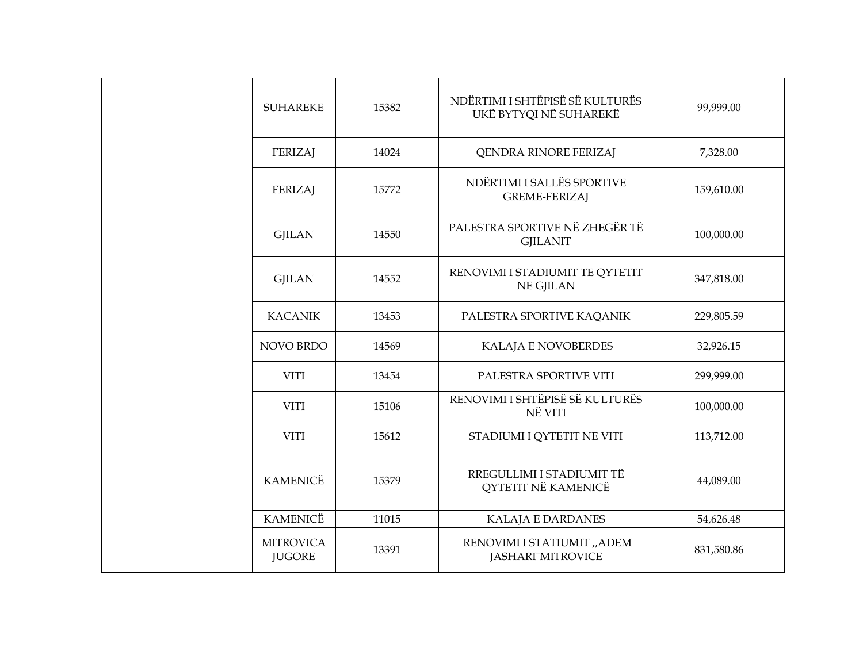| <b>SUHAREKE</b>                   | 15382 | NDËRTIMI I SHTËPISË SË KULTURËS<br>UKË BYTYQI NË SUHAREKË | 99,999.00  |
|-----------------------------------|-------|-----------------------------------------------------------|------------|
| <b>FERIZAJ</b>                    | 14024 | QENDRA RINORE FERIZAJ                                     | 7,328.00   |
| <b>FERIZAJ</b>                    | 15772 | NDËRTIMI I SALLËS SPORTIVE<br><b>GREME-FERIZAJ</b>        | 159,610.00 |
| <b>GJILAN</b>                     | 14550 | PALESTRA SPORTIVE NË ZHEGËR TË<br><b>GJILANIT</b>         | 100,000.00 |
| <b>GJILAN</b>                     | 14552 | RENOVIMI I STADIUMIT TE QYTETIT<br>NE GJILAN              | 347,818.00 |
| <b>KACANIK</b>                    | 13453 | PALESTRA SPORTIVE KAQANIK                                 | 229,805.59 |
| NOVO BRDO                         | 14569 | KALAJA E NOVOBERDES                                       | 32,926.15  |
| <b>VITI</b>                       | 13454 | PALESTRA SPORTIVE VITI                                    | 299,999.00 |
| <b>VITI</b>                       | 15106 | RENOVIMI I SHTËPISË SË KULTURËS<br>NË VITI                | 100,000.00 |
| <b>VITI</b>                       | 15612 | STADIUMI I QYTETIT NE VITI                                | 113,712.00 |
| <b>KAMENICË</b>                   | 15379 | RREGULLIMI I STADIUMIT TË<br>QYTETIT NË KAMENICË          | 44,089.00  |
| <b>KAMENICË</b>                   | 11015 | KALAJA E DARDANES                                         | 54,626.48  |
| <b>MITROVICA</b><br><b>JUGORE</b> | 13391 | RENOVIMI I STATIUMIT "ADEM<br>JASHARI"MITROVICE           | 831,580.86 |
|                                   |       |                                                           |            |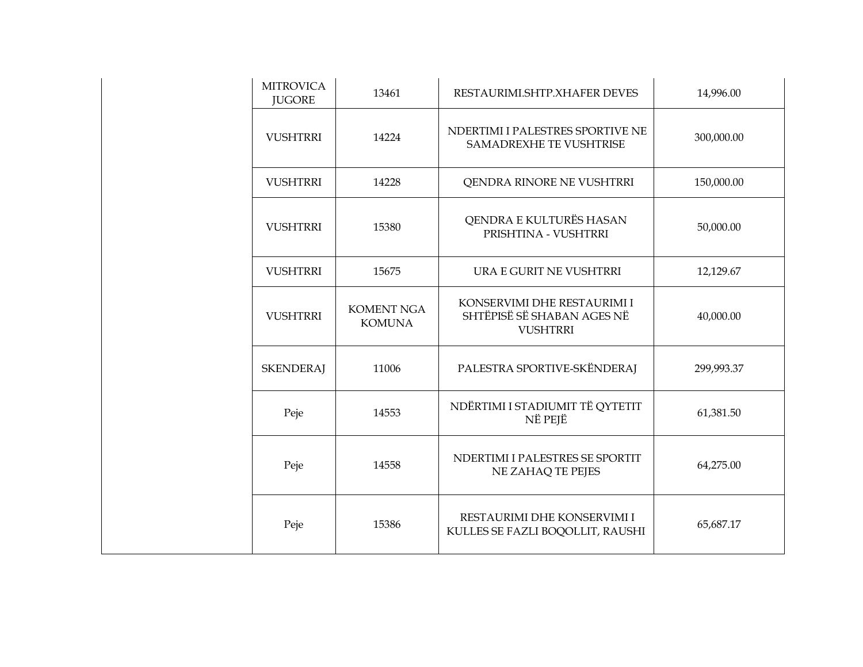| <b>MITROVICA</b><br><b>JUGORE</b> | 13461                              | RESTAURIMI.SHTP.XHAFER DEVES                                                 | 14,996.00  |
|-----------------------------------|------------------------------------|------------------------------------------------------------------------------|------------|
| <b>VUSHTRRI</b>                   | 14224                              | NDERTIMI I PALESTRES SPORTIVE NE<br><b>SAMADREXHE TE VUSHTRISE</b>           | 300,000.00 |
| <b>VUSHTRRI</b>                   | 14228                              | QENDRA RINORE NE VUSHTRRI                                                    | 150,000.00 |
| <b>VUSHTRRI</b>                   | 15380                              | QENDRA E KULTURËS HASAN<br>PRISHTINA - VUSHTRRI                              | 50,000.00  |
| <b>VUSHTRRI</b>                   | 15675                              | URA E GURIT NE VUSHTRRI                                                      | 12,129.67  |
| <b>VUSHTRRI</b>                   | <b>KOMENT NGA</b><br><b>KOMUNA</b> | KONSERVIMI DHE RESTAURIMI I<br>SHTËPISË SË SHABAN AGES NË<br><b>VUSHTRRI</b> | 40,000.00  |
| <b>SKENDERAJ</b>                  | 11006                              | PALESTRA SPORTIVE-SKËNDERAJ                                                  | 299,993.37 |
| Peje                              | 14553                              | NDËRTIMI I STADIUMIT TË QYTETIT<br>NË PEJË                                   | 61,381.50  |
| Peje                              | 14558                              | NDERTIMI I PALESTRES SE SPORTIT<br>NE ZAHAQ TE PEJES                         | 64,275.00  |
| Peje                              | 15386                              | RESTAURIMI DHE KONSERVIMI I<br>KULLES SE FAZLI BOQOLLIT, RAUSHI              | 65,687.17  |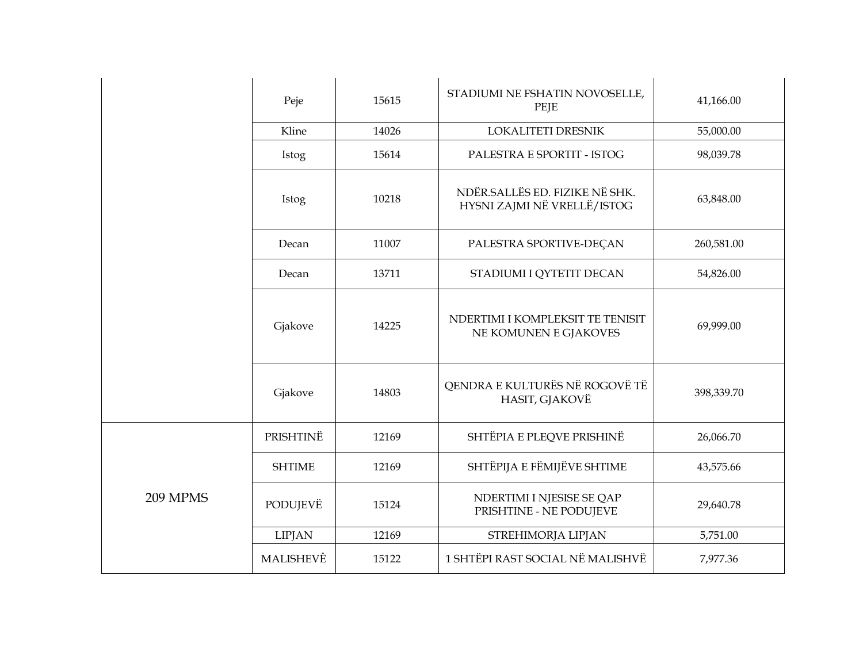|          | Peje          | 15615 | STADIUMI NE FSHATIN NOVOSELLE,<br>PEJE                        | 41,166.00  |
|----------|---------------|-------|---------------------------------------------------------------|------------|
|          | Kline         |       | LOKALITETI DRESNIK                                            | 55,000.00  |
|          | Istog         | 15614 | PALESTRA E SPORTIT - ISTOG                                    | 98,039.78  |
|          | Istog         | 10218 | NDËR.SALLËS ED. FIZIKE NË SHK.<br>HYSNI ZAJMI NË VRELLË/ISTOG | 63,848.00  |
|          | Decan         | 11007 | PALESTRA SPORTIVE-DEÇAN                                       | 260,581.00 |
|          | Decan         | 13711 | STADIUMI I QYTETIT DECAN                                      | 54,826.00  |
|          | Gjakove       | 14225 | NDERTIMI I KOMPLEKSIT TE TENISIT<br>NE KOMUNEN E GJAKOVES     | 69,999.00  |
|          | Gjakove       | 14803 | QENDRA E KULTURËS NË ROGOVË TË<br>HASIT, GJAKOVË              | 398,339.70 |
|          | PRISHTINË     | 12169 | SHTËPIA E PLEQVE PRISHINË                                     | 26,066.70  |
|          | <b>SHTIME</b> | 12169 | SHTËPIJA E FËMIJËVE SHTIME                                    | 43,575.66  |
| 209 MPMS | PODUJEVË      | 15124 | NDERTIMI I NJESISE SE QAP<br>PRISHTINE - NE PODUJEVE          | 29,640.78  |
|          | <b>LIPJAN</b> | 12169 | STREHIMORJA LIPJAN                                            | 5,751.00   |
|          | MALISHEVÊ     | 15122 | 1 SHTËPI RAST SOCIAL NË MALISHVË                              | 7,977.36   |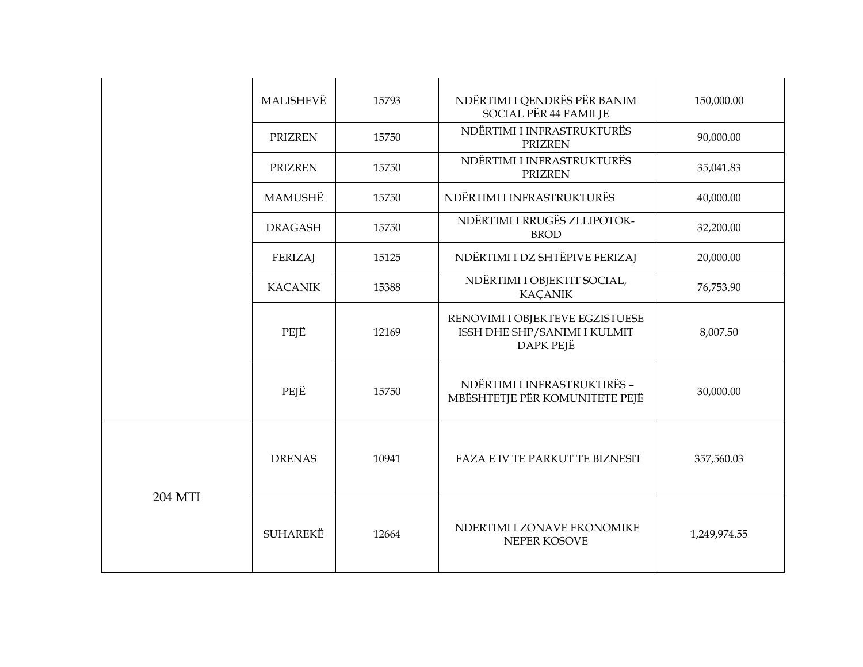|         | MALISHEVË       | 15793 | NDËRTIMI I QENDRËS PËR BANIM<br>SOCIAL PËR 44 FAMILJE                        | 150,000.00   |
|---------|-----------------|-------|------------------------------------------------------------------------------|--------------|
|         | <b>PRIZREN</b>  | 15750 | NDËRTIMI I INFRASTRUKTURËS<br><b>PRIZREN</b>                                 | 90,000.00    |
|         | <b>PRIZREN</b>  | 15750 | NDËRTIMI I INFRASTRUKTURËS<br><b>PRIZREN</b>                                 | 35,041.83    |
|         | MAMUSHË         | 15750 | NDËRTIMI I INFRASTRUKTURËS                                                   | 40,000.00    |
|         | <b>DRAGASH</b>  | 15750 | NDËRTIMI I RRUGËS ZLLIPOTOK-<br><b>BROD</b>                                  | 32,200.00    |
|         | <b>FERIZAJ</b>  | 15125 | NDËRTIMI I DZ SHTËPIVE FERIZAJ                                               | 20,000.00    |
|         | <b>KACANIK</b>  | 15388 | NDËRTIMI I OBJEKTIT SOCIAL,<br><b>KAÇANIK</b>                                | 76,753.90    |
|         | PEJË            | 12169 | RENOVIMI I OBJEKTEVE EGZISTUESE<br>ISSH DHE SHP/SANIMI I KULMIT<br>DAPK PEJË | 8,007.50     |
|         | PEJË            | 15750 | NDËRTIMI I INFRASTRUKTIRËS -<br>MBËSHTETJE PËR KOMUNITETE PEJË               | 30,000.00    |
| 204 MTI | <b>DRENAS</b>   | 10941 | FAZA E IV TE PARKUT TE BIZNESIT                                              | 357,560.03   |
|         | <b>SUHAREKË</b> | 12664 | NDERTIMI I ZONAVE EKONOMIKE<br>NEPER KOSOVE                                  | 1,249,974.55 |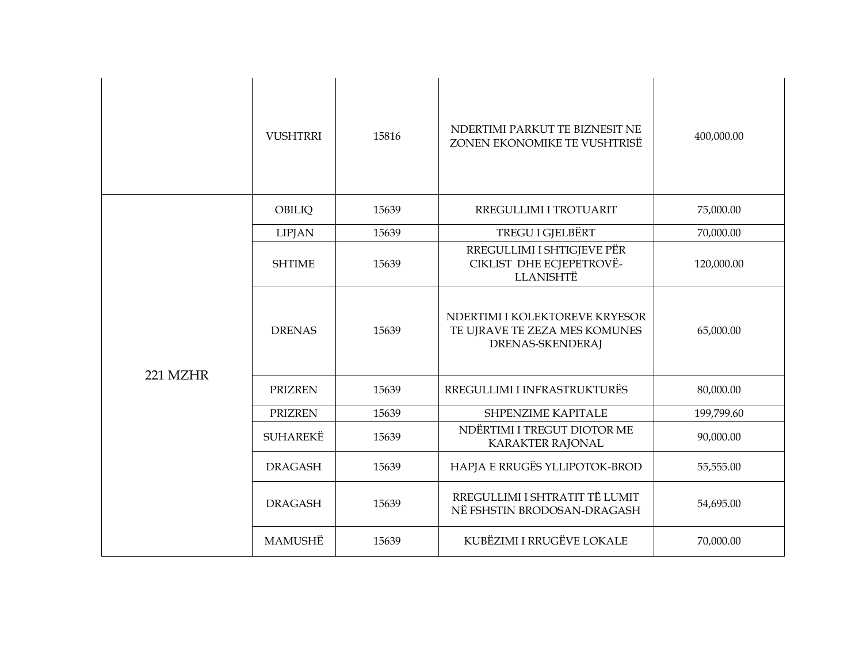|          | <b>VUSHTRRI</b> | 15816 | NDERTIMI PARKUT TE BIZNESIT NE<br>ZONEN EKONOMIKE TE VUSHTRISË                      | 400,000.00 |
|----------|-----------------|-------|-------------------------------------------------------------------------------------|------------|
|          | OBILIQ          | 15639 | RREGULLIMI I TROTUARIT                                                              | 75,000.00  |
|          | <b>LIPJAN</b>   | 15639 | TREGU I GJELBËRT                                                                    | 70,000.00  |
|          | <b>SHTIME</b>   | 15639 | RREGULLIMI I SHTIGJEVE PËR<br>CIKLIST DHE ECJEPETROVË-<br><b>LLANISHTË</b>          | 120,000.00 |
|          | <b>DRENAS</b>   | 15639 | NDERTIMI I KOLEKTOREVE KRYESOR<br>TE UJRAVE TE ZEZA MES KOMUNES<br>DRENAS-SKENDERAJ | 65,000.00  |
| 221 MZHR | <b>PRIZREN</b>  | 15639 | RREGULLIMI I INFRASTRUKTURËS                                                        | 80,000.00  |
|          | <b>PRIZREN</b>  | 15639 | <b>SHPENZIME KAPITALE</b>                                                           | 199,799.60 |
|          | <b>SUHAREKË</b> | 15639 | NDËRTIMI I TREGUT DIOTOR ME<br><b>KARAKTER RAJONAL</b>                              | 90,000.00  |
|          | <b>DRAGASH</b>  | 15639 | HAPJA E RRUGËS YLLIPOTOK-BROD                                                       | 55,555.00  |
|          | <b>DRAGASH</b>  | 15639 | RREGULLIMI I SHTRATIT TË LUMIT<br>NË FSHSTIN BRODOSAN-DRAGASH                       | 54,695.00  |
|          | MAMUSHË         | 15639 | KUBËZIMI I RRUGËVE LOKALE                                                           | 70,000.00  |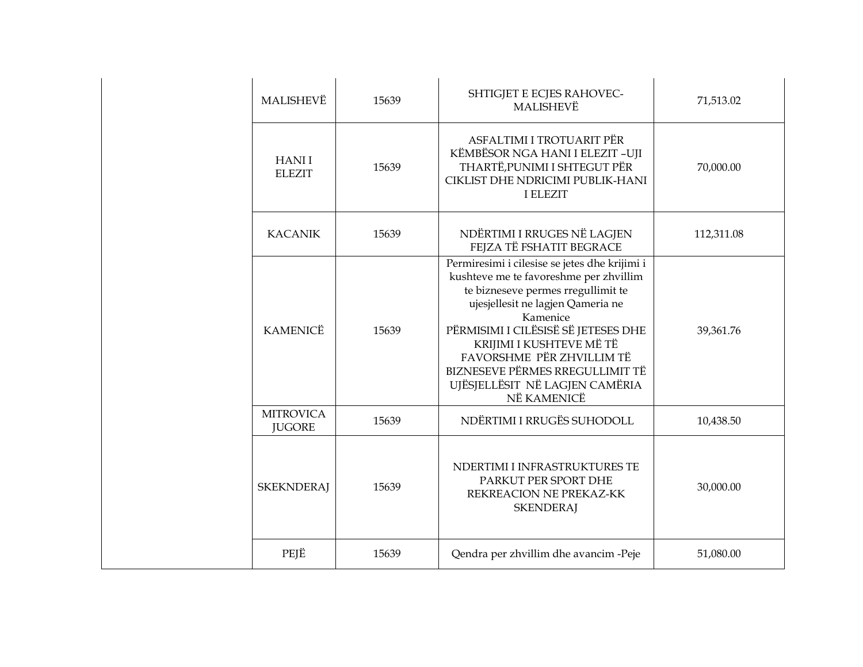| MALISHEVË                         | 15639 | SHTIGJET E ECJES RAHOVEC-<br><b>MALISHEVË</b>                                                                                                                                                                                                                                                                                                                      | 71,513.02  |
|-----------------------------------|-------|--------------------------------------------------------------------------------------------------------------------------------------------------------------------------------------------------------------------------------------------------------------------------------------------------------------------------------------------------------------------|------------|
| <b>HANII</b><br><b>ELEZIT</b>     | 15639 | ASFALTIMI I TROTUARIT PËR<br>KËMBËSOR NGA HANI I ELEZIT -UJI<br>THARTË, PUNIMI I SHTEGUT PËR<br>CIKLIST DHE NDRICIMI PUBLIK-HANI<br><b>I ELEZIT</b>                                                                                                                                                                                                                | 70,000.00  |
| <b>KACANIK</b>                    | 15639 | NDËRTIMI I RRUGES NË LAGJEN<br>FEJZA TË FSHATIT BEGRACE                                                                                                                                                                                                                                                                                                            | 112,311.08 |
| <b>KAMENICË</b>                   | 15639 | Permiresimi i cilesise se jetes dhe krijimi i<br>kushteve me te favoreshme per zhvillim<br>te bizneseve permes rregullimit te<br>ujesjellesit ne lagjen Qameria ne<br>Kamenice<br>PËRMISIMI I CILËSISË SË JETESES DHE<br>KRIJIMI I KUSHTEVE MË TË<br>FAVORSHME PËR ZHVILLIM TË<br>BIZNESEVE PËRMES RREGULLIMIT TË<br>UJËSJELLËSIT NË LAGJEN CAMËRIA<br>NË KAMENICË | 39,361.76  |
| <b>MITROVICA</b><br><b>JUGORE</b> | 15639 | NDËRTIMI I RRUGËS SUHODOLL                                                                                                                                                                                                                                                                                                                                         | 10,438.50  |
| <b>SKEKNDERAJ</b>                 | 15639 | NDERTIMI I INFRASTRUKTURES TE<br>PARKUT PER SPORT DHE<br>REKREACION NE PREKAZ-KK<br><b>SKENDERAJ</b>                                                                                                                                                                                                                                                               | 30,000.00  |
| PEJË                              | 15639 | Qendra per zhvillim dhe avancim -Peje                                                                                                                                                                                                                                                                                                                              | 51,080.00  |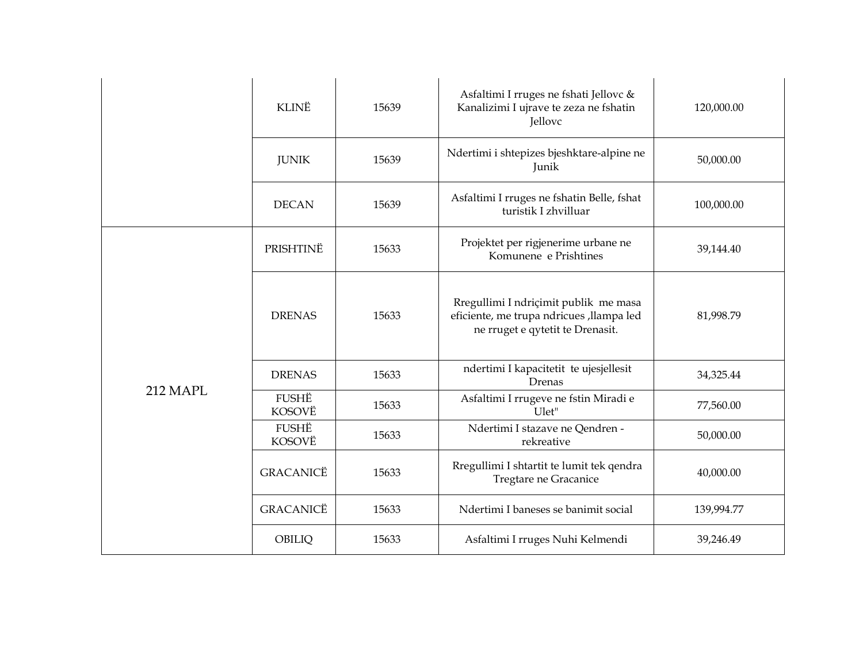|          | KLINË            | 15639 | Asfaltimi I rruges ne fshati Jellovc &<br>Kanalizimi I ujrave te zeza ne fshatin<br><b>Jellovc</b>                    | 120,000.00 |
|----------|------------------|-------|-----------------------------------------------------------------------------------------------------------------------|------------|
|          | <b>JUNIK</b>     | 15639 | Ndertimi i shtepizes bjeshktare-alpine ne<br>Junik                                                                    | 50,000.00  |
|          | <b>DECAN</b>     | 15639 | Asfaltimi I rruges ne fshatin Belle, fshat<br>turistik I zhvilluar                                                    | 100,000.00 |
|          | PRISHTINË        | 15633 | Projektet per rigjenerime urbane ne<br>Komunene e Prishtines                                                          | 39,144.40  |
|          | <b>DRENAS</b>    | 15633 | Rregullimi I ndriçimit publik me masa<br>eficiente, me trupa ndricues, llampa led<br>ne rruget e qytetit te Drenasit. | 81,998.79  |
|          | <b>DRENAS</b>    | 15633 | ndertimi I kapacitetit te ujesjellesit<br>Drenas                                                                      | 34,325.44  |
| 212 MAPL | FUSHË<br>KOSOVË  | 15633 | Asfaltimi I rrugeve ne fstin Miradi e<br>Ulet"                                                                        | 77,560.00  |
|          | FUSHË<br>KOSOVË  | 15633 | Ndertimi I stazave ne Qendren -<br>rekreative                                                                         | 50,000.00  |
|          | GRACANICË        | 15633 | Rregullimi I shtartit te lumit tek qendra<br>Tregtare ne Gracanice                                                    | 40,000.00  |
|          | <b>GRACANICË</b> | 15633 | Ndertimi I baneses se banimit social                                                                                  | 139,994.77 |
|          | OBILIQ           | 15633 | Asfaltimi I rruges Nuhi Kelmendi                                                                                      | 39,246.49  |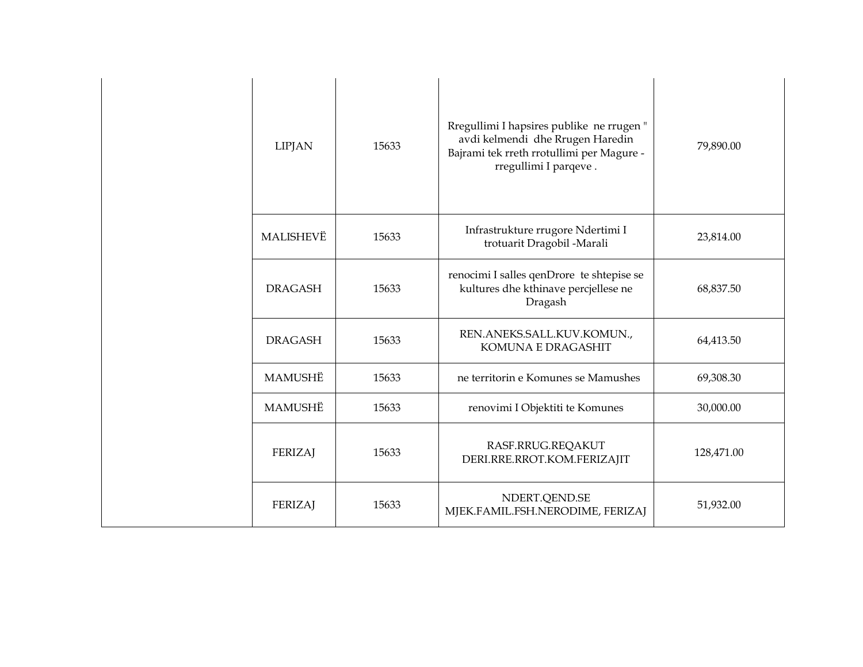| <b>LIPJAN</b>  | 15633 | Rregullimi I hapsires publike ne rrugen"<br>avdi kelmendi dhe Rrugen Haredin<br>Bajrami tek rreth rrotullimi per Magure -<br>rregullimi I parqeve. | 79,890.00  |
|----------------|-------|----------------------------------------------------------------------------------------------------------------------------------------------------|------------|
| MALISHEVË      | 15633 | Infrastrukture rrugore Ndertimi I<br>trotuarit Dragobil -Marali                                                                                    | 23,814.00  |
| <b>DRAGASH</b> | 15633 | renocimi I salles qenDrore te shtepise se<br>kultures dhe kthinave percjellese ne<br>Dragash                                                       | 68,837.50  |
| <b>DRAGASH</b> | 15633 | REN.ANEKS.SALL.KUV.KOMUN.,<br><b>KOMUNA E DRAGASHIT</b>                                                                                            | 64,413.50  |
| MAMUSHË        | 15633 | ne territorin e Komunes se Mamushes                                                                                                                | 69,308.30  |
| MAMUSHË        | 15633 | renovimi I Objektiti te Komunes                                                                                                                    | 30,000.00  |
| FERIZAJ        | 15633 | RASF.RRUG.REQAKUT<br>DERI.RRE.RROT.KOM.FERIZAJIT                                                                                                   | 128,471.00 |
| <b>FERIZAJ</b> | 15633 | NDERT.QEND.SE<br>MJEK.FAMIL.FSH.NERODIME, FERIZAJ                                                                                                  | 51,932.00  |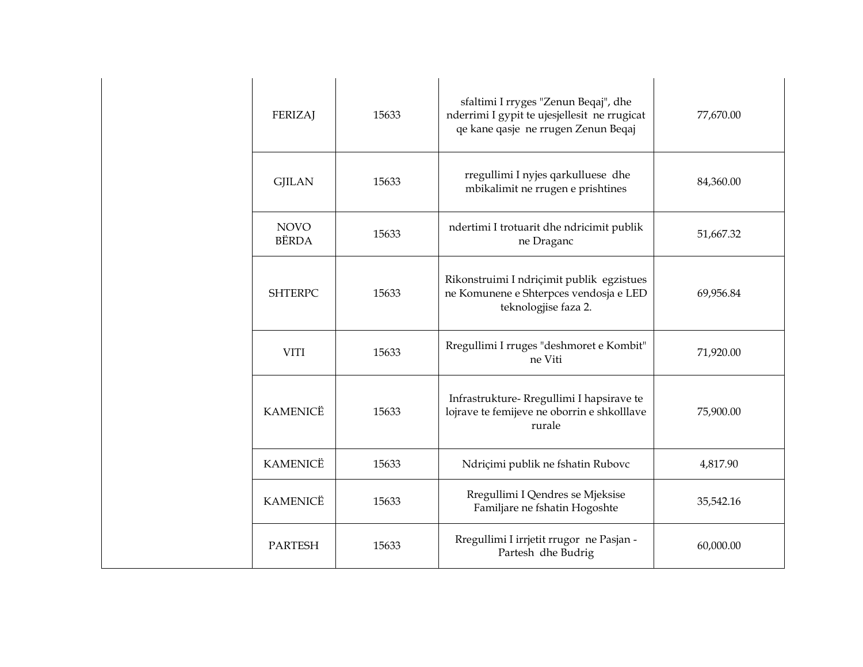| <b>FERIZAJ</b>              | 15633 | sfaltimi I rryges "Zenun Beqaj", dhe<br>nderrimi I gypit te ujesjellesit ne rrugicat<br>qe kane qasje ne rrugen Zenun Beqaj | 77,670.00 |
|-----------------------------|-------|-----------------------------------------------------------------------------------------------------------------------------|-----------|
| <b>GJILAN</b>               | 15633 | rregullimi I nyjes qarkulluese dhe<br>mbikalimit ne rrugen e prishtines                                                     | 84,360.00 |
| <b>NOVO</b><br><b>BËRDA</b> | 15633 | ndertimi I trotuarit dhe ndricimit publik<br>ne Draganc                                                                     | 51,667.32 |
| <b>SHTERPC</b>              | 15633 | Rikonstruimi I ndriçimit publik egzistues<br>ne Komunene e Shterpces vendosja e LED<br>teknologjise faza 2.                 | 69,956.84 |
| <b>VITI</b>                 | 15633 | Rregullimi I rruges "deshmoret e Kombit"<br>ne Viti                                                                         | 71,920.00 |
| <b>KAMENICË</b>             | 15633 | Infrastrukture- Rregullimi I hapsirave te<br>lojrave te femijeve ne oborrin e shkolllave<br>rurale                          | 75,900.00 |
| <b>KAMENICË</b>             | 15633 | Ndriçimi publik ne fshatin Rubovc                                                                                           | 4,817.90  |
| <b>KAMENICË</b>             | 15633 | Rregullimi I Qendres se Mjeksise<br>Familjare ne fshatin Hogoshte                                                           | 35,542.16 |
| <b>PARTESH</b>              | 15633 | Rregullimi I irrjetit rrugor ne Pasjan -<br>Partesh dhe Budrig                                                              | 60,000.00 |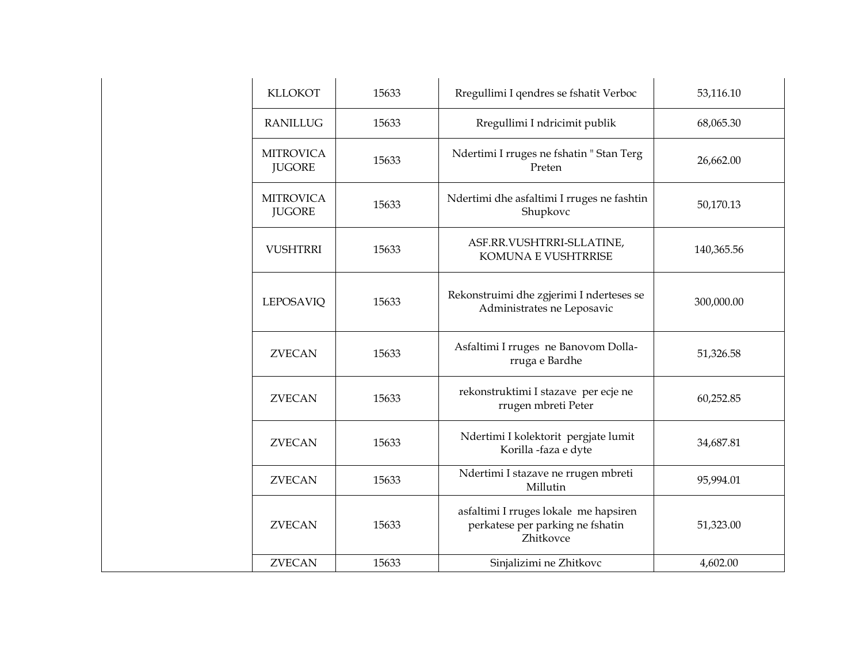| <b>KLLOKOT</b><br>15633           |       | Rregullimi I qendres se fshatit Verboc                                                 | 53,116.10  |
|-----------------------------------|-------|----------------------------------------------------------------------------------------|------------|
| <b>RANILLUG</b>                   | 15633 | Rregullimi I ndricimit publik                                                          | 68,065.30  |
| <b>MITROVICA</b><br><b>JUGORE</b> | 15633 | Ndertimi I rruges ne fshatin "Stan Terg<br>Preten                                      | 26,662.00  |
| <b>MITROVICA</b><br><b>JUGORE</b> | 15633 | Ndertimi dhe asfaltimi I rruges ne fashtin<br>Shupkovc                                 | 50,170.13  |
| <b>VUSHTRRI</b>                   | 15633 | ASF.RR.VUSHTRRI-SLLATINE,<br><b>KOMUNA E VUSHTRRISE</b>                                | 140,365.56 |
| <b>LEPOSAVIQ</b>                  | 15633 | Rekonstruimi dhe zgjerimi I nderteses se<br>Administrates ne Leposavic                 | 300,000.00 |
| <b>ZVECAN</b>                     | 15633 | Asfaltimi I rruges ne Banovom Dolla-<br>rruga e Bardhe                                 | 51,326.58  |
| <b>ZVECAN</b>                     | 15633 | rekonstruktimi I stazave per ecje ne<br>rrugen mbreti Peter                            | 60,252.85  |
| <b>ZVECAN</b>                     | 15633 | Ndertimi I kolektorit pergjate lumit<br>Korilla -faza e dyte                           | 34,687.81  |
| <b>ZVECAN</b>                     | 15633 | Ndertimi I stazave ne rrugen mbreti<br>Millutin                                        | 95,994.01  |
| <b>ZVECAN</b>                     | 15633 | asfaltimi I rruges lokale me hapsiren<br>perkatese per parking ne fshatin<br>Zhitkovce | 51,323.00  |
| <b>ZVECAN</b>                     | 15633 | Sinjalizimi ne Zhitkovc                                                                | 4,602.00   |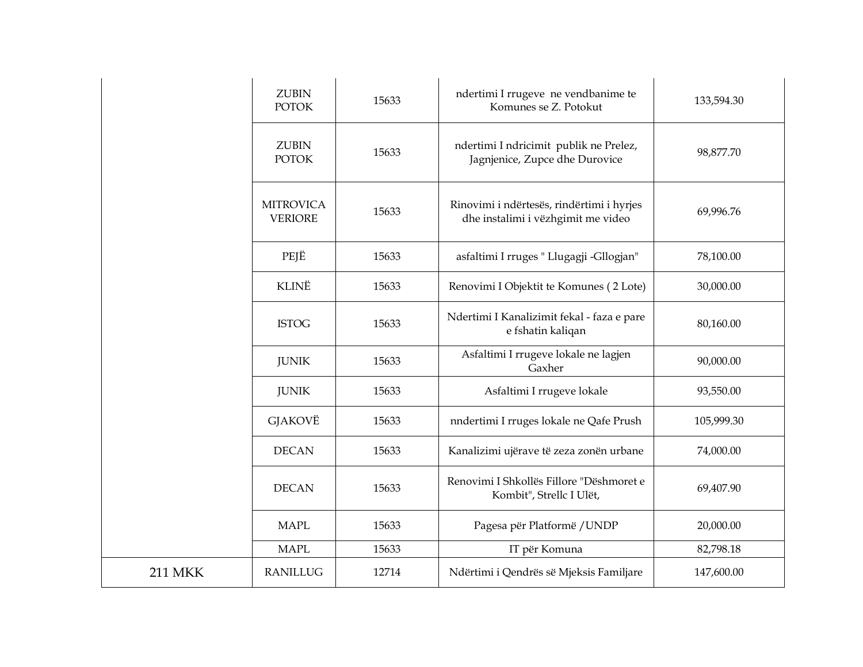| <b>ZUBIN</b><br><b>POTOK</b>       | 15633 | ndertimi I rrugeve ne vendbanime te<br>Komunes se Z. Potokut                    | 133,594.30 |
|------------------------------------|-------|---------------------------------------------------------------------------------|------------|
| <b>ZUBIN</b><br><b>POTOK</b>       | 15633 | ndertimi I ndricimit publik ne Prelez,<br>Jagnjenice, Zupce dhe Durovice        | 98,877.70  |
| <b>MITROVICA</b><br><b>VERIORE</b> | 15633 | Rinovimi i ndërtesës, rindërtimi i hyrjes<br>dhe instalimi i vëzhgimit me video | 69,996.76  |
| PEJË                               | 15633 | asfaltimi I rruges " Llugagji -Gllogjan"                                        | 78,100.00  |
| KLINË                              | 15633 | Renovimi I Objektit te Komunes (2 Lote)                                         | 30,000.00  |
| <b>ISTOG</b>                       | 15633 | Ndertimi I Kanalizimit fekal - faza e pare<br>e fshatin kaliqan                 | 80,160.00  |
| <b>JUNIK</b>                       | 15633 | Asfaltimi I rrugeve lokale ne lagjen<br>Gaxher                                  | 90,000.00  |
| <b>JUNIK</b>                       | 15633 | Asfaltimi I rrugeve lokale                                                      | 93,550.00  |
| GJAKOVË                            | 15633 | nndertimi I rruges lokale ne Qafe Prush                                         | 105,999.30 |
| <b>DECAN</b>                       | 15633 | Kanalizimi ujërave të zeza zonën urbane                                         | 74,000.00  |
| <b>DECAN</b>                       | 15633 | Renovimi I Shkollës Fillore "Dëshmoret e<br>Kombit", Strellc I Ulët,            | 69,407.90  |
| <b>MAPL</b>                        | 15633 | Pagesa për Platformë / UNDP                                                     | 20,000.00  |
| <b>MAPL</b>                        | 15633 | IT për Komuna                                                                   | 82,798.18  |
| <b>RANILLUG</b>                    | 12714 | Ndërtimi i Qendrës së Mjeksis Familjare                                         | 147,600.00 |
|                                    |       |                                                                                 |            |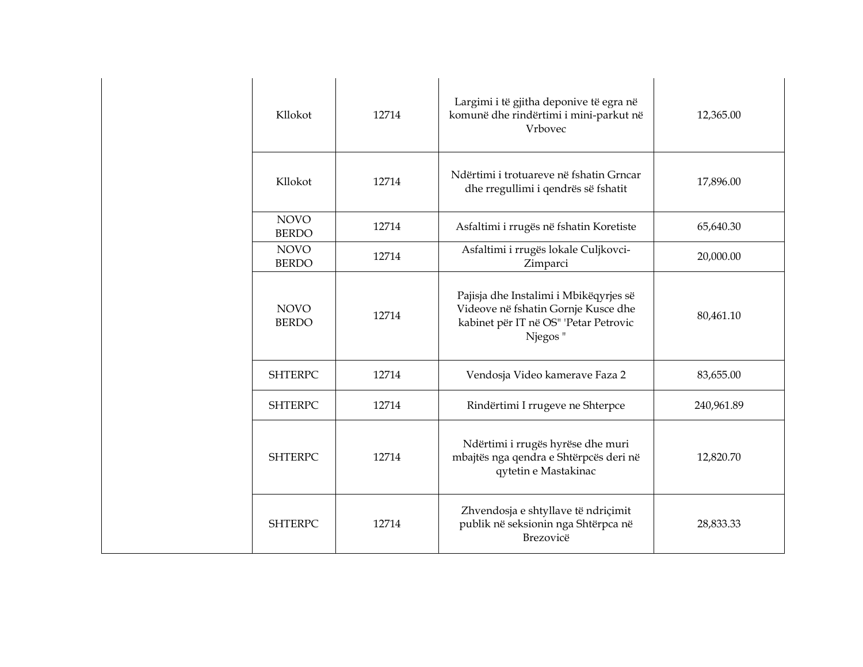|  | Kllokot                     | 12714 | Largimi i të gjitha deponive të egra në<br>komunë dhe rindërtimi i mini-parkut në<br>Vrbovec                                      | 12,365.00  |
|--|-----------------------------|-------|-----------------------------------------------------------------------------------------------------------------------------------|------------|
|  | Kllokot                     | 12714 | Ndërtimi i trotuareve në fshatin Grncar<br>dhe rregullimi i qendrës së fshatit                                                    | 17,896.00  |
|  | <b>NOVO</b><br><b>BERDO</b> | 12714 | Asfaltimi i rrugës në fshatin Koretiste                                                                                           | 65,640.30  |
|  | <b>NOVO</b><br><b>BERDO</b> | 12714 | Asfaltimi i rrugës lokale Culjkovci-<br>Zimparci                                                                                  | 20,000.00  |
|  | <b>NOVO</b><br><b>BERDO</b> | 12714 | Pajisja dhe Instalimi i Mbikëqyrjes së<br>Videove në fshatin Gornje Kusce dhe<br>kabinet për IT në OS" 'Petar Petrovic<br>Njegos" | 80,461.10  |
|  | <b>SHTERPC</b>              | 12714 | Vendosja Video kamerave Faza 2                                                                                                    | 83,655.00  |
|  | <b>SHTERPC</b>              | 12714 | Rindërtimi I rrugeve ne Shterpce                                                                                                  | 240,961.89 |
|  | <b>SHTERPC</b>              | 12714 | Ndërtimi i rrugës hyrëse dhe muri<br>mbajtës nga qendra e Shtërpcës deri në<br>qytetin e Mastakinac                               | 12,820.70  |
|  | <b>SHTERPC</b>              | 12714 | Zhvendosja e shtyllave të ndriçimit<br>publik në seksionin nga Shtërpca në<br>Brezovicë                                           | 28,833.33  |